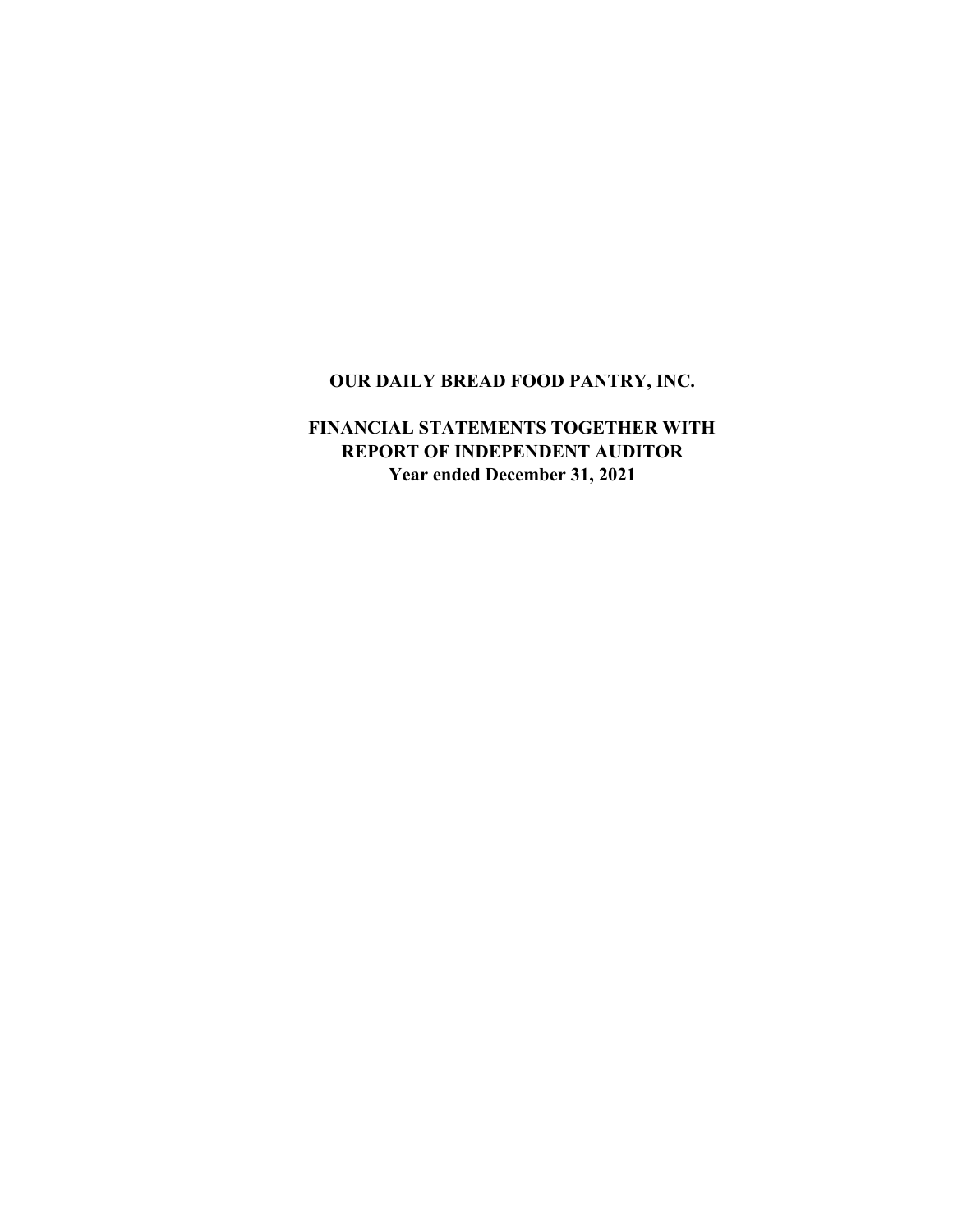# **OUR DAILY BREAD FOOD PANTRY, INC.**

## **FINANCIAL STATEMENTS TOGETHER WITH Year ended December 31, 2021 REPORT OF INDEPENDENT AUDITOR**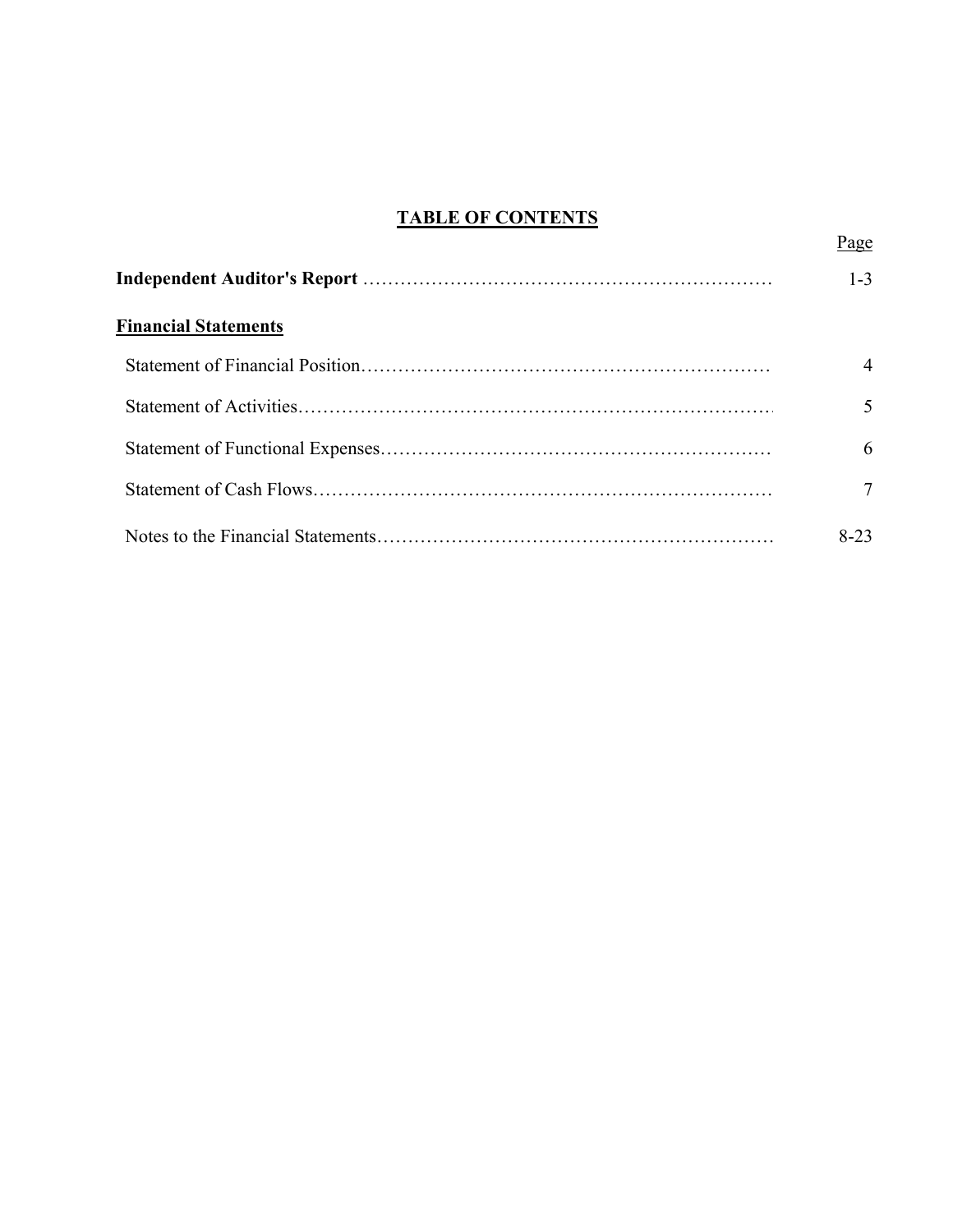# **TABLE OF CONTENTS**

Page

|                             | $1 - 3$        |
|-----------------------------|----------------|
| <b>Financial Statements</b> |                |
|                             | $\overline{4}$ |
|                             | 5              |
|                             | 6              |
|                             | 7              |
|                             | $8 - 23$       |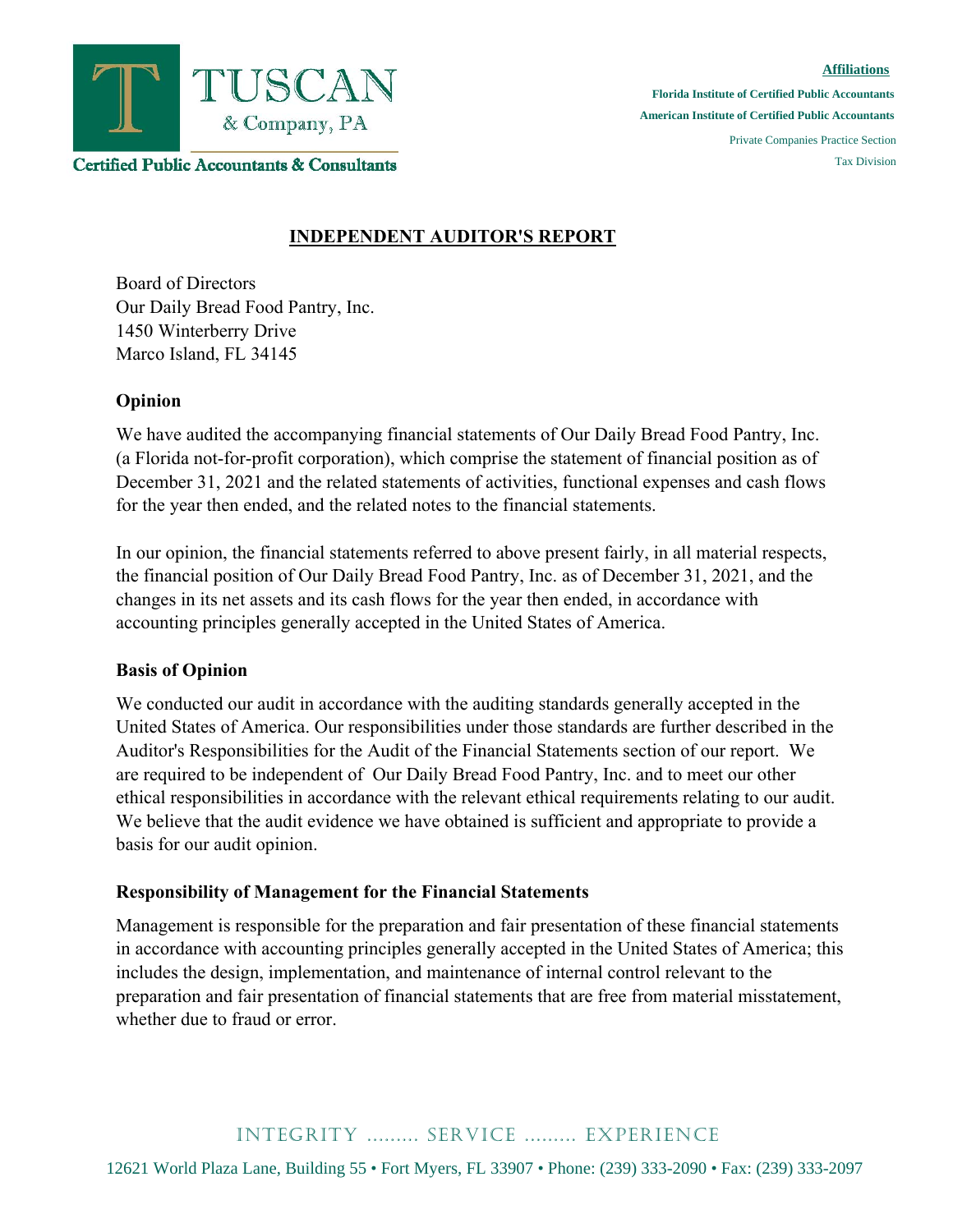

**Certified Public Accountants & Consultants** 

#### **Affiliations**

**Florida Institute of Certified Public Accountants American Institute of Certified Public Accountants** 

> Private Companies Practice Section Tax Division

### **INDEPENDENT AUDITOR'S REPORT**

Board of Directors Our Daily Bread Food Pantry, Inc. 1450 Winterberry Drive Marco Island, FL 34145

#### **Opinion**

We have audited the accompanying financial statements of Our Daily Bread Food Pantry, Inc. (a Florida not-for-profit corporation), which comprise the statement of financial position as of December 31, 2021 and the related statements of activities, functional expenses and cash flows for the year then ended, and the related notes to the financial statements.

In our opinion, the financial statements referred to above present fairly, in all material respects, the financial position of Our Daily Bread Food Pantry, Inc. as of December 31, 2021, and the changes in its net assets and its cash flows for the year then ended, in accordance with accounting principles generally accepted in the United States of America.

### **Basis of Opinion**

We conducted our audit in accordance with the auditing standards generally accepted in the United States of America. Our responsibilities under those standards are further described in the Auditor's Responsibilities for the Audit of the Financial Statements section of our report. We are required to be independent of Our Daily Bread Food Pantry, Inc. and to meet our other ethical responsibilities in accordance with the relevant ethical requirements relating to our audit. We believe that the audit evidence we have obtained is sufficient and appropriate to provide a basis for our audit opinion.

### **Responsibility of Management for the Financial Statements**

Management is responsible for the preparation and fair presentation of these financial statements in accordance with accounting principles generally accepted in the United States of America; this includes the design, implementation, and maintenance of internal control relevant to the preparation and fair presentation of financial statements that are free from material misstatement, whether due to fraud or error.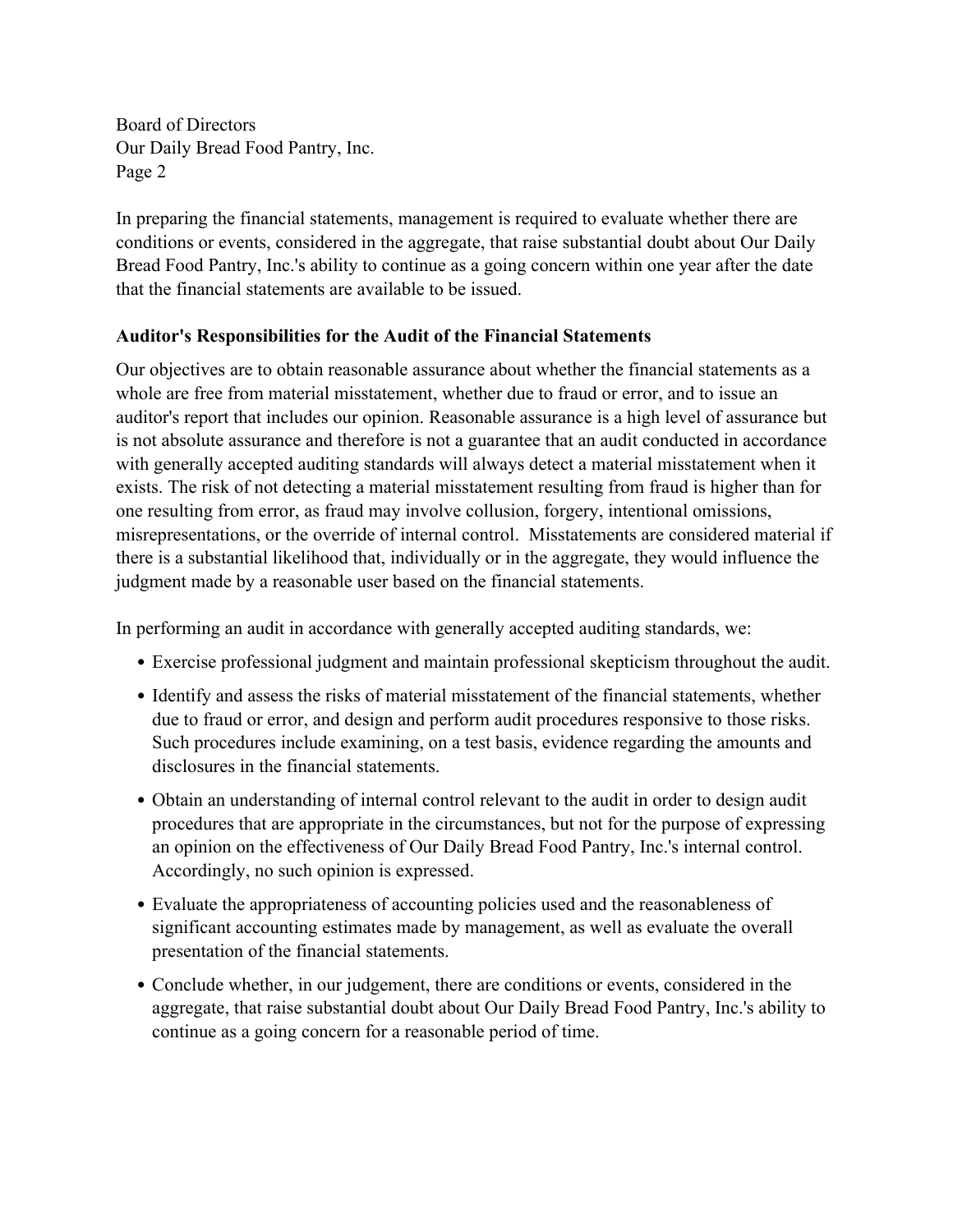Board of Directors Our Daily Bread Food Pantry, Inc. Page 2

In preparing the financial statements, management is required to evaluate whether there are conditions or events, considered in the aggregate, that raise substantial doubt about Our Daily Bread Food Pantry, Inc.'s ability to continue as a going concern within one year after the date that the financial statements are available to be issued.

### **Auditor's Responsibilities for the Audit of the Financial Statements**

Our objectives are to obtain reasonable assurance about whether the financial statements as a whole are free from material misstatement, whether due to fraud or error, and to issue an auditor's report that includes our opinion. Reasonable assurance is a high level of assurance but is not absolute assurance and therefore is not a guarantee that an audit conducted in accordance with generally accepted auditing standards will always detect a material misstatement when it exists. The risk of not detecting a material misstatement resulting from fraud is higher than for one resulting from error, as fraud may involve collusion, forgery, intentional omissions, misrepresentations, or the override of internal control. Misstatements are considered material if there is a substantial likelihood that, individually or in the aggregate, they would influence the judgment made by a reasonable user based on the financial statements.

In performing an audit in accordance with generally accepted auditing standards, we:

- Exercise professional judgment and maintain professional skepticism throughout the audit.
- Identify and assess the risks of material misstatement of the financial statements, whether due to fraud or error, and design and perform audit procedures responsive to those risks. Such procedures include examining, on a test basis, evidence regarding the amounts and disclosures in the financial statements.
- Obtain an understanding of internal control relevant to the audit in order to design audit procedures that are appropriate in the circumstances, but not for the purpose of expressing an opinion on the effectiveness of Our Daily Bread Food Pantry, Inc.'s internal control. Accordingly, no such opinion is expressed.
- Evaluate the appropriateness of accounting policies used and the reasonableness of significant accounting estimates made by management, as well as evaluate the overall presentation of the financial statements.
- Conclude whether, in our judgement, there are conditions or events, considered in the aggregate, that raise substantial doubt about Our Daily Bread Food Pantry, Inc.'s ability to continue as a going concern for a reasonable period of time.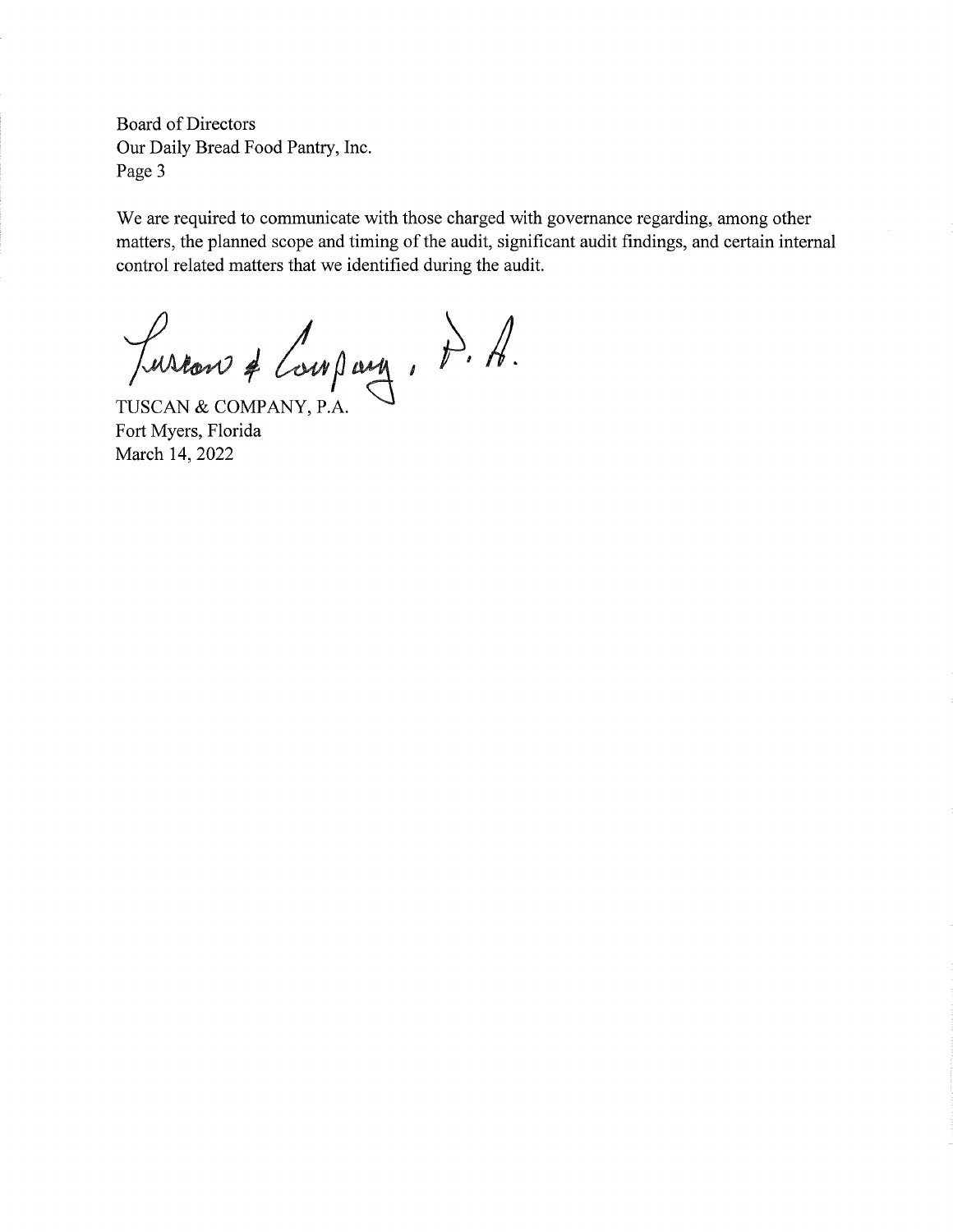**Board of Directors** Our Daily Bread Food Pantry, Inc. Page 3

We are required to communicate with those charged with governance regarding, among other matters, the planned scope and timing of the audit, significant audit findings, and certain internal control related matters that we identified during the audit.

Luscan & Compary, p. f. f.

Fort Myers, Florida March 14, 2022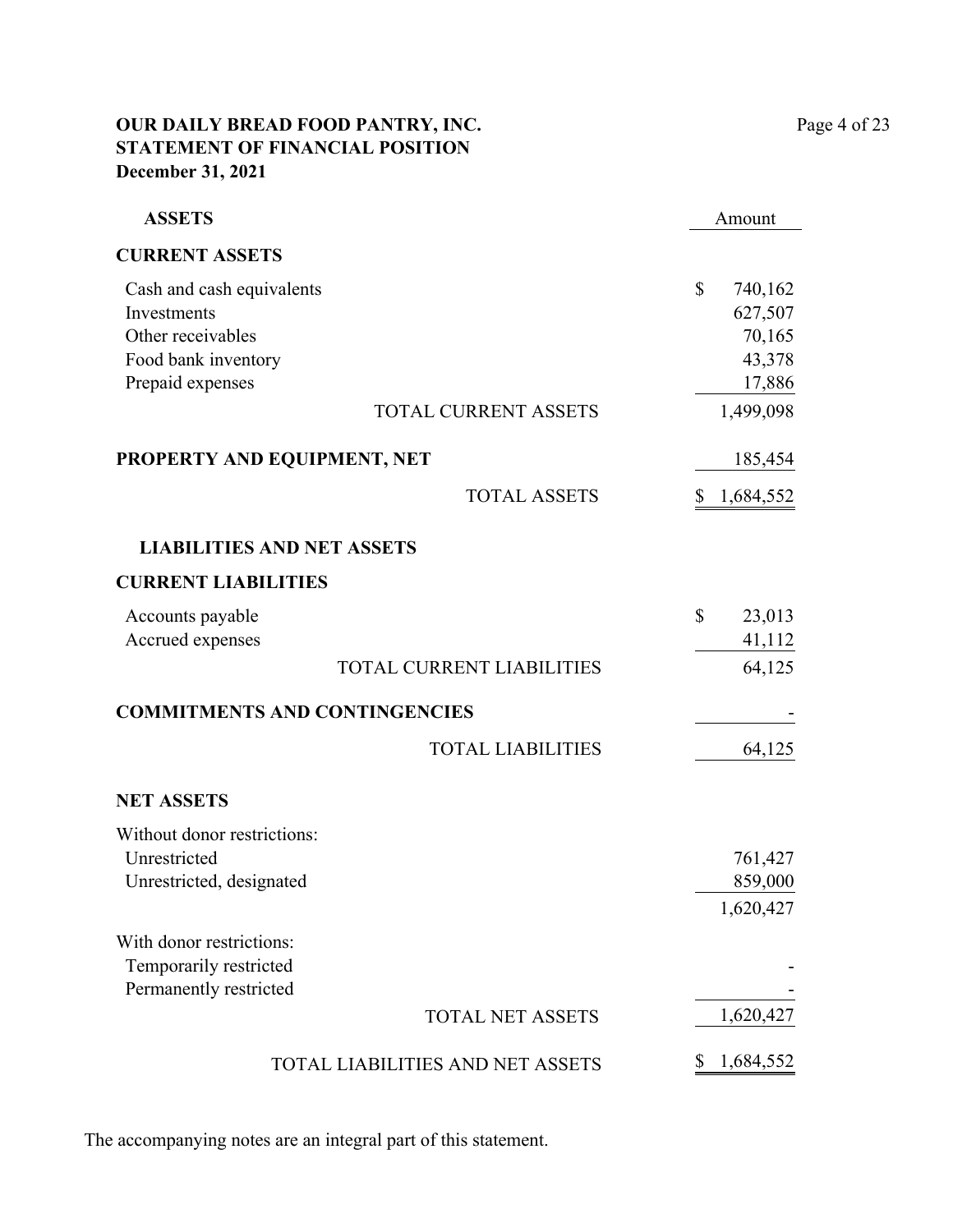## **OUR DAILY BREAD FOOD PANTRY, INC.** Page 4 of 23 **STATEMENT OF FINANCIAL POSITION December 31, 2021**

| <b>ASSETS</b>                                                                                            |                                  | Amount                                                              |
|----------------------------------------------------------------------------------------------------------|----------------------------------|---------------------------------------------------------------------|
| <b>CURRENT ASSETS</b>                                                                                    |                                  |                                                                     |
| Cash and cash equivalents<br>Investments<br>Other receivables<br>Food bank inventory<br>Prepaid expenses | <b>TOTAL CURRENT ASSETS</b>      | \$<br>740,162<br>627,507<br>70,165<br>43,378<br>17,886<br>1,499,098 |
|                                                                                                          |                                  |                                                                     |
| PROPERTY AND EQUIPMENT, NET                                                                              |                                  | 185,454                                                             |
|                                                                                                          | <b>TOTAL ASSETS</b>              | 1,684,552<br>S                                                      |
| <b>LIABILITIES AND NET ASSETS</b>                                                                        |                                  |                                                                     |
| <b>CURRENT LIABILITIES</b>                                                                               |                                  |                                                                     |
| Accounts payable<br>Accrued expenses                                                                     | <b>TOTAL CURRENT LIABILITIES</b> | \$<br>23,013<br>41,112<br>64,125                                    |
| <b>COMMITMENTS AND CONTINGENCIES</b>                                                                     |                                  |                                                                     |
|                                                                                                          | <b>TOTAL LIABILITIES</b>         | 64,125                                                              |
| <b>NET ASSETS</b>                                                                                        |                                  |                                                                     |
| Without donor restrictions:<br>Unrestricted<br>Unrestricted, designated                                  |                                  | 761,427<br>859,000<br>1,620,427                                     |
| With donor restrictions:<br>Temporarily restricted<br>Permanently restricted                             |                                  |                                                                     |
|                                                                                                          | <b>TOTAL NET ASSETS</b>          | 1,620,427                                                           |
|                                                                                                          | TOTAL LIABILITIES AND NET ASSETS | 1,684,552<br>\$                                                     |

The accompanying notes are an integral part of this statement.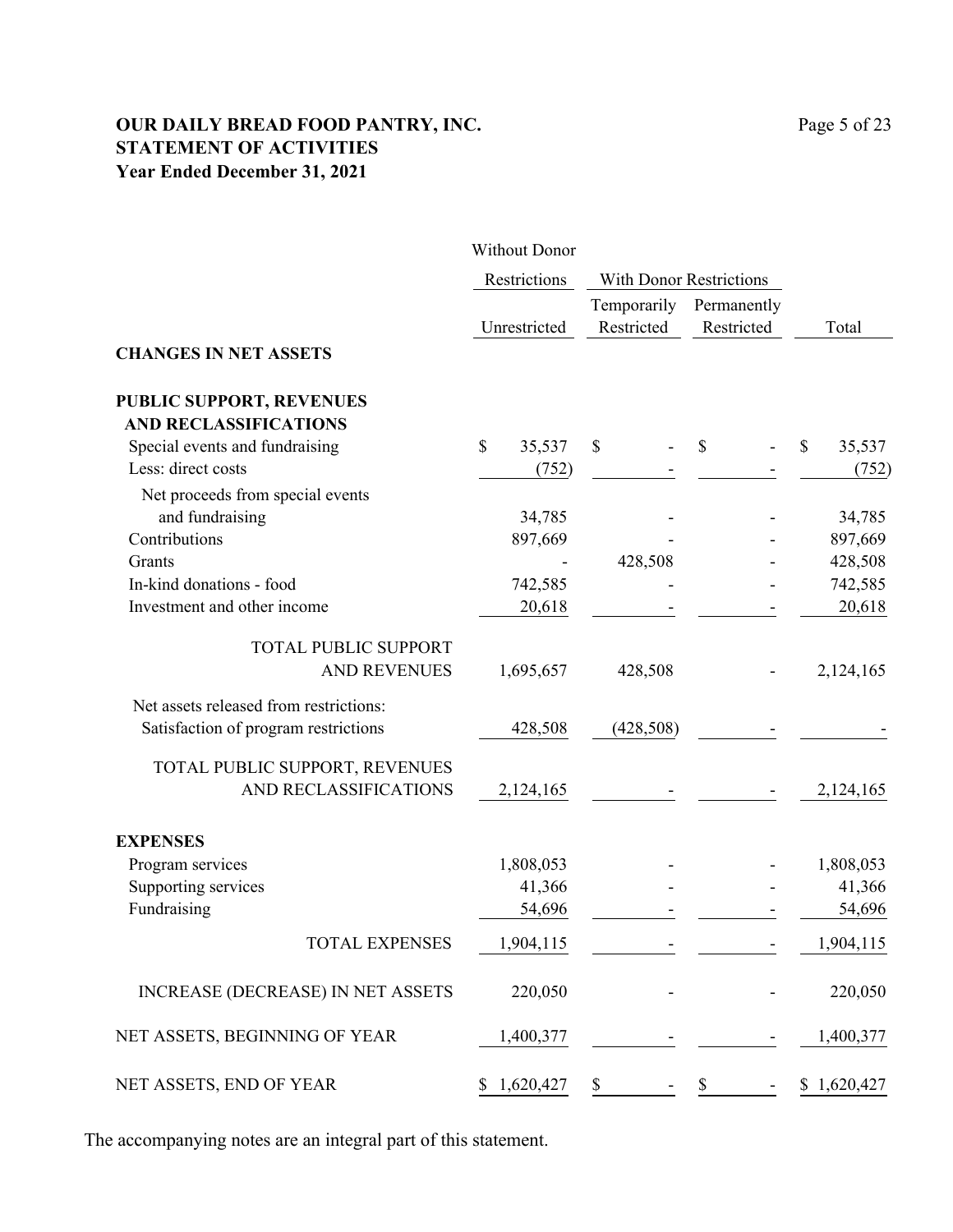## **OUR DAILY BREAD FOOD PANTRY, INC.** Page 5 of 23 **STATEMENT OF ACTIVITIES Year Ended December 31, 2021**

|                                          | <b>Without Donor</b> |                                |               |              |
|------------------------------------------|----------------------|--------------------------------|---------------|--------------|
|                                          | Restrictions         | <b>With Donor Restrictions</b> |               |              |
|                                          |                      | Temporarily                    | Permanently   |              |
|                                          | Unrestricted         | Restricted                     | Restricted    | Total        |
| <b>CHANGES IN NET ASSETS</b>             |                      |                                |               |              |
| <b>PUBLIC SUPPORT, REVENUES</b>          |                      |                                |               |              |
| <b>AND RECLASSIFICATIONS</b>             |                      |                                |               |              |
| Special events and fundraising           | \$<br>35,537         | \$                             | $\mathcal{S}$ | \$<br>35,537 |
| Less: direct costs                       | (752)                |                                |               | (752)        |
| Net proceeds from special events         |                      |                                |               |              |
| and fundraising                          | 34,785               |                                |               | 34,785       |
| Contributions                            | 897,669              |                                |               | 897,669      |
| Grants                                   |                      | 428,508                        |               | 428,508      |
| In-kind donations - food                 | 742,585              |                                |               | 742,585      |
| Investment and other income              | 20,618               |                                |               | 20,618       |
| <b>TOTAL PUBLIC SUPPORT</b>              |                      |                                |               |              |
| <b>AND REVENUES</b>                      | 1,695,657            | 428,508                        |               | 2,124,165    |
| Net assets released from restrictions:   |                      |                                |               |              |
| Satisfaction of program restrictions     | 428,508              | (428,508)                      |               |              |
| TOTAL PUBLIC SUPPORT, REVENUES           |                      |                                |               |              |
| AND RECLASSIFICATIONS                    | 2,124,165            |                                |               | 2,124,165    |
| <b>EXPENSES</b>                          |                      |                                |               |              |
| Program services                         | 1,808,053            |                                |               | 1,808,053    |
| Supporting services                      | 41,366               |                                |               | 41,366       |
| Fundraising                              | 54,696               |                                |               | 54,696       |
| TOTAL EXPENSES                           | 1,904,115            |                                |               | 1,904,115    |
| <b>INCREASE (DECREASE) IN NET ASSETS</b> | 220,050              |                                |               | 220,050      |
| NET ASSETS, BEGINNING OF YEAR            | 1,400,377            |                                |               | 1,400,377    |
| NET ASSETS, END OF YEAR                  | \$1,620,427          | \$                             | \$            | \$1,620,427  |

The accompanying notes are an integral part of this statement.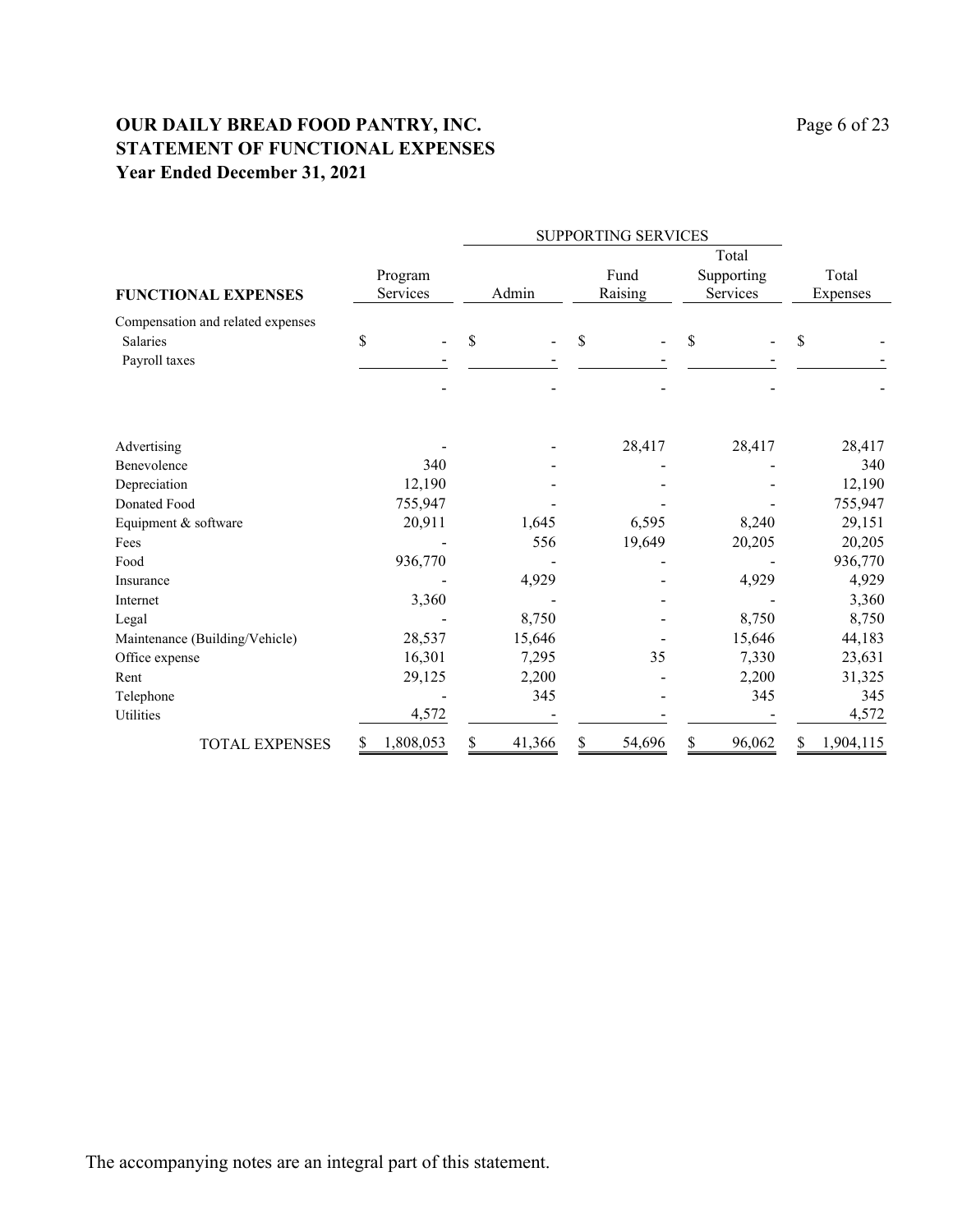## **OUR DAILY BREAD FOOD PANTRY, INC.** Page 6 of 23 **STATEMENT OF FUNCTIONAL EXPENSES Year Ended December 31, 2021**

|                                                                       |                     |              | SUPPORTING SERVICES |                                 |                   |  |  |  |
|-----------------------------------------------------------------------|---------------------|--------------|---------------------|---------------------------------|-------------------|--|--|--|
| <b>FUNCTIONAL EXPENSES</b>                                            | Program<br>Services | Admin        | Fund<br>Raising     | Total<br>Supporting<br>Services | Total<br>Expenses |  |  |  |
| Compensation and related expenses<br><b>Salaries</b><br>Payroll taxes | \$                  | \$           | \$                  | \$                              | \$                |  |  |  |
| Advertising                                                           |                     |              | 28,417              | 28,417                          | 28,417            |  |  |  |
| <b>Benevolence</b>                                                    | 340                 |              |                     |                                 | 340               |  |  |  |
| Depreciation                                                          | 12,190              |              |                     |                                 | 12,190            |  |  |  |
| Donated Food                                                          | 755,947             |              |                     |                                 | 755,947           |  |  |  |
| Equipment & software                                                  | 20,911              | 1,645        | 6,595               | 8,240                           | 29,151            |  |  |  |
| Fees                                                                  |                     | 556          | 19,649              | 20,205                          | 20,205            |  |  |  |
| Food                                                                  | 936,770             |              |                     |                                 | 936,770           |  |  |  |
| Insurance                                                             |                     | 4,929        |                     | 4,929                           | 4,929             |  |  |  |
| Internet                                                              | 3,360               |              |                     |                                 | 3,360             |  |  |  |
| Legal                                                                 |                     | 8,750        |                     | 8,750                           | 8,750             |  |  |  |
| Maintenance (Building/Vehicle)                                        | 28,537              | 15,646       |                     | 15,646                          | 44,183            |  |  |  |
| Office expense                                                        | 16,301              | 7,295        | 35                  | 7,330                           | 23,631            |  |  |  |
| Rent                                                                  | 29,125              | 2,200        |                     | 2,200                           | 31,325            |  |  |  |
| Telephone                                                             |                     | 345          |                     | 345                             | 345               |  |  |  |
| Utilities                                                             | 4,572               |              |                     |                                 | 4,572             |  |  |  |
| <b>TOTAL EXPENSES</b>                                                 | 1,808,053<br>S      | \$<br>41,366 | S<br>54,696         | \$<br>96,062                    | \$<br>1,904,115   |  |  |  |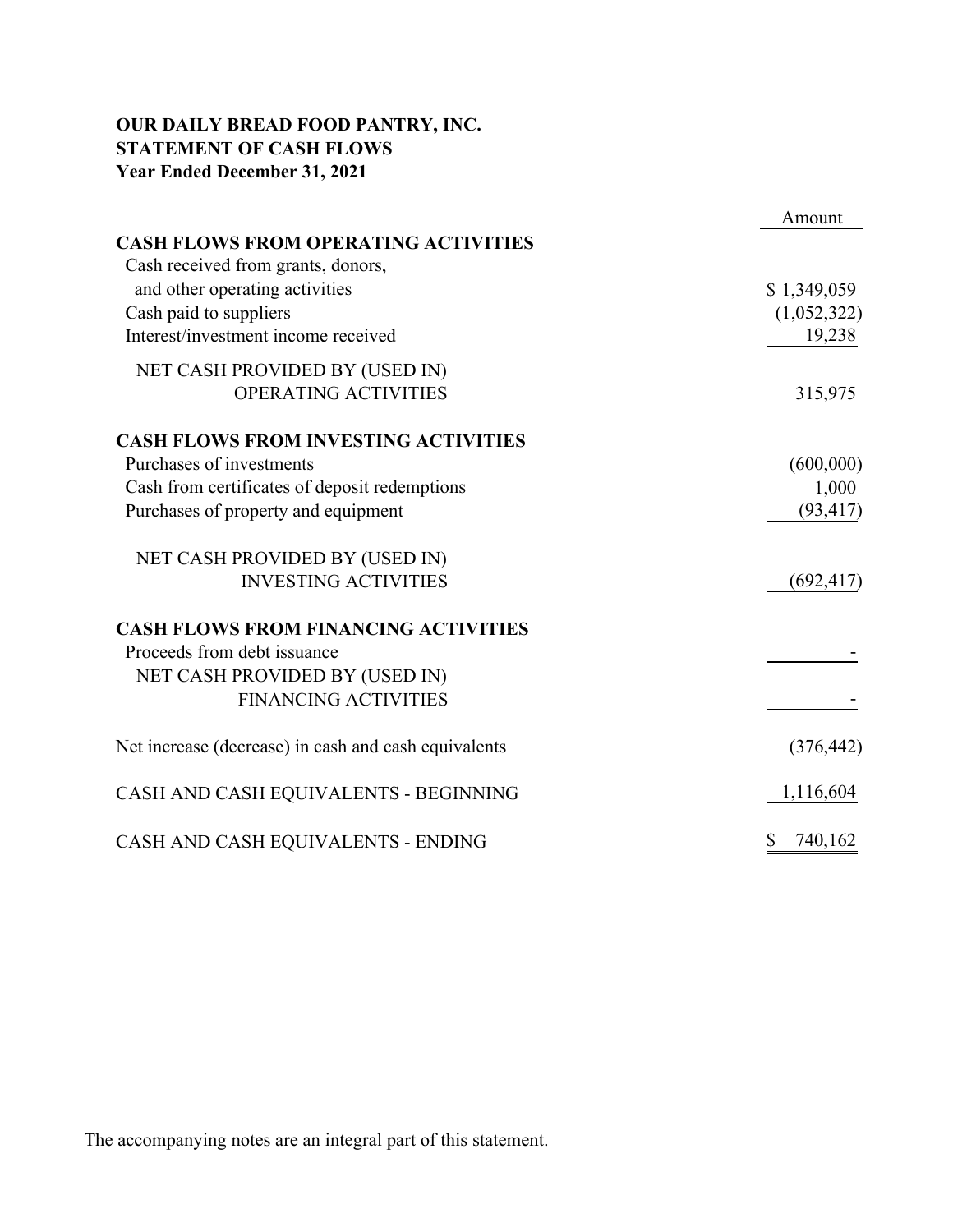## **OUR DAILY BREAD FOOD PANTRY, INC. STATEMENT OF CASH FLOWS Year Ended December 31, 2021**

|                                                      | Amount        |
|------------------------------------------------------|---------------|
| <b>CASH FLOWS FROM OPERATING ACTIVITIES</b>          |               |
| Cash received from grants, donors,                   |               |
| and other operating activities                       | \$1,349,059   |
| Cash paid to suppliers                               | (1,052,322)   |
| Interest/investment income received                  | 19,238        |
| NET CASH PROVIDED BY (USED IN)                       |               |
| OPERATING ACTIVITIES                                 | 315,975       |
| <b>CASH FLOWS FROM INVESTING ACTIVITIES</b>          |               |
| Purchases of investments                             | (600,000)     |
| Cash from certificates of deposit redemptions        | 1,000         |
| Purchases of property and equipment                  | (93, 417)     |
| NET CASH PROVIDED BY (USED IN)                       |               |
| <b>INVESTING ACTIVITIES</b>                          | (692, 417)    |
| <b>CASH FLOWS FROM FINANCING ACTIVITIES</b>          |               |
| Proceeds from debt issuance                          |               |
| NET CASH PROVIDED BY (USED IN)                       |               |
| <b>FINANCING ACTIVITIES</b>                          |               |
| Net increase (decrease) in cash and cash equivalents | (376, 442)    |
| CASH AND CASH EQUIVALENTS - BEGINNING                | 1,116,604     |
| CASH AND CASH EQUIVALENTS - ENDING                   | 740,162<br>\$ |

The accompanying notes are an integral part of this statement.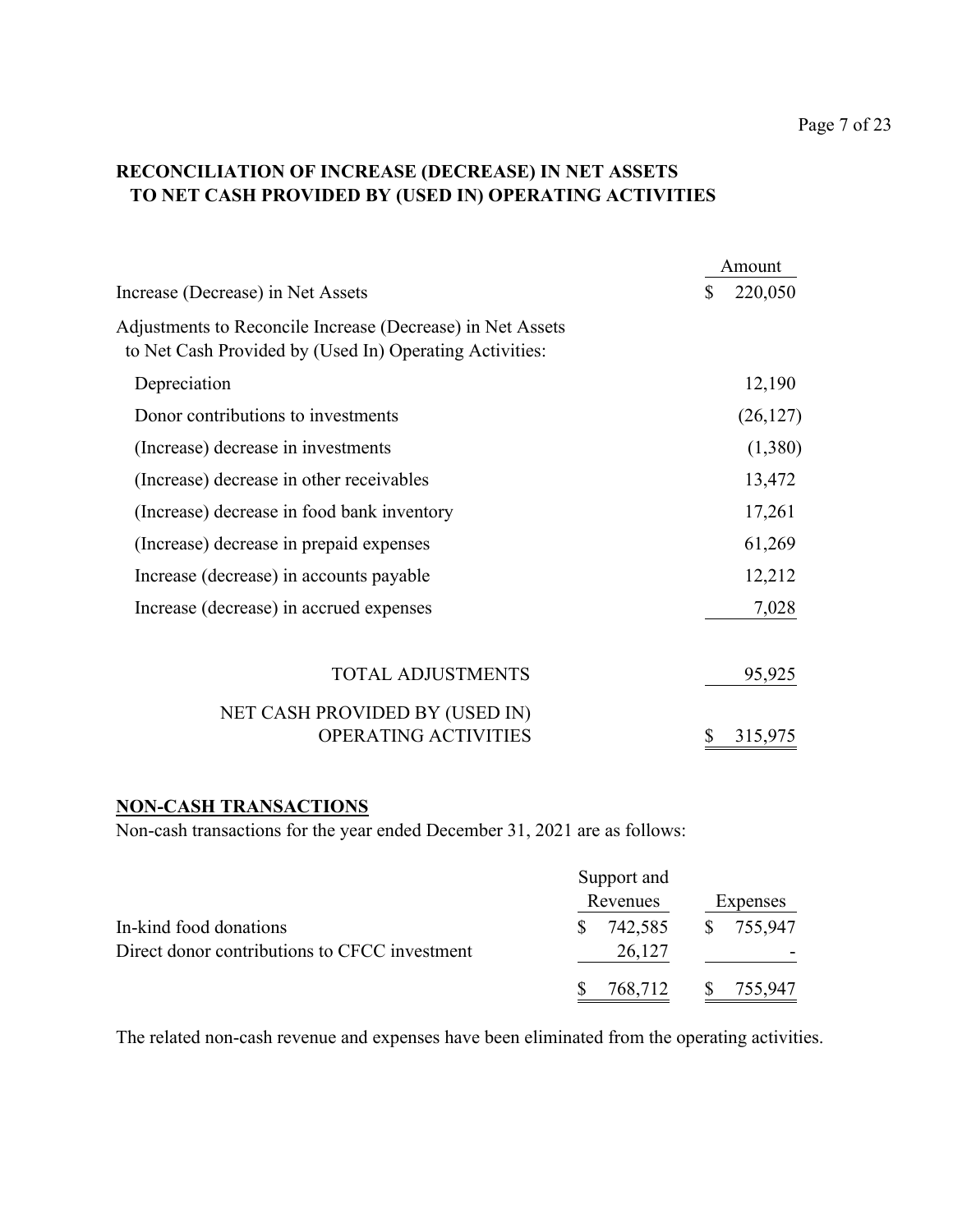## **RECONCILIATION OF INCREASE (DECREASE) IN NET ASSETS TO NET CASH PROVIDED BY (USED IN) OPERATING ACTIVITIES**

|                                                                                                                       | Amount        |
|-----------------------------------------------------------------------------------------------------------------------|---------------|
| Increase (Decrease) in Net Assets                                                                                     | \$<br>220,050 |
| Adjustments to Reconcile Increase (Decrease) in Net Assets<br>to Net Cash Provided by (Used In) Operating Activities: |               |
| Depreciation                                                                                                          | 12,190        |
| Donor contributions to investments                                                                                    | (26, 127)     |
| (Increase) decrease in investments                                                                                    | (1,380)       |
| (Increase) decrease in other receivables                                                                              | 13,472        |
| (Increase) decrease in food bank inventory                                                                            | 17,261        |
| (Increase) decrease in prepaid expenses                                                                               | 61,269        |
| Increase (decrease) in accounts payable                                                                               | 12,212        |
| Increase (decrease) in accrued expenses                                                                               | 7,028         |
| <b>TOTAL ADJUSTMENTS</b>                                                                                              | 95,925        |
| NET CASH PROVIDED BY (USED IN)                                                                                        |               |
| OPERATING ACTIVITIES                                                                                                  | \$<br>315,975 |

## **NON-CASH TRANSACTIONS**

Non-cash transactions for the year ended December 31, 2021 are as follows:

|                                                                         | Support and             |                         |
|-------------------------------------------------------------------------|-------------------------|-------------------------|
|                                                                         | Revenues                | Expenses                |
| In-kind food donations<br>Direct donor contributions to CFCC investment | 742,585<br>S.<br>26,127 | \$755,947               |
|                                                                         | 768,712                 | $\mathbb{S}$<br>755,947 |

The related non-cash revenue and expenses have been eliminated from the operating activities.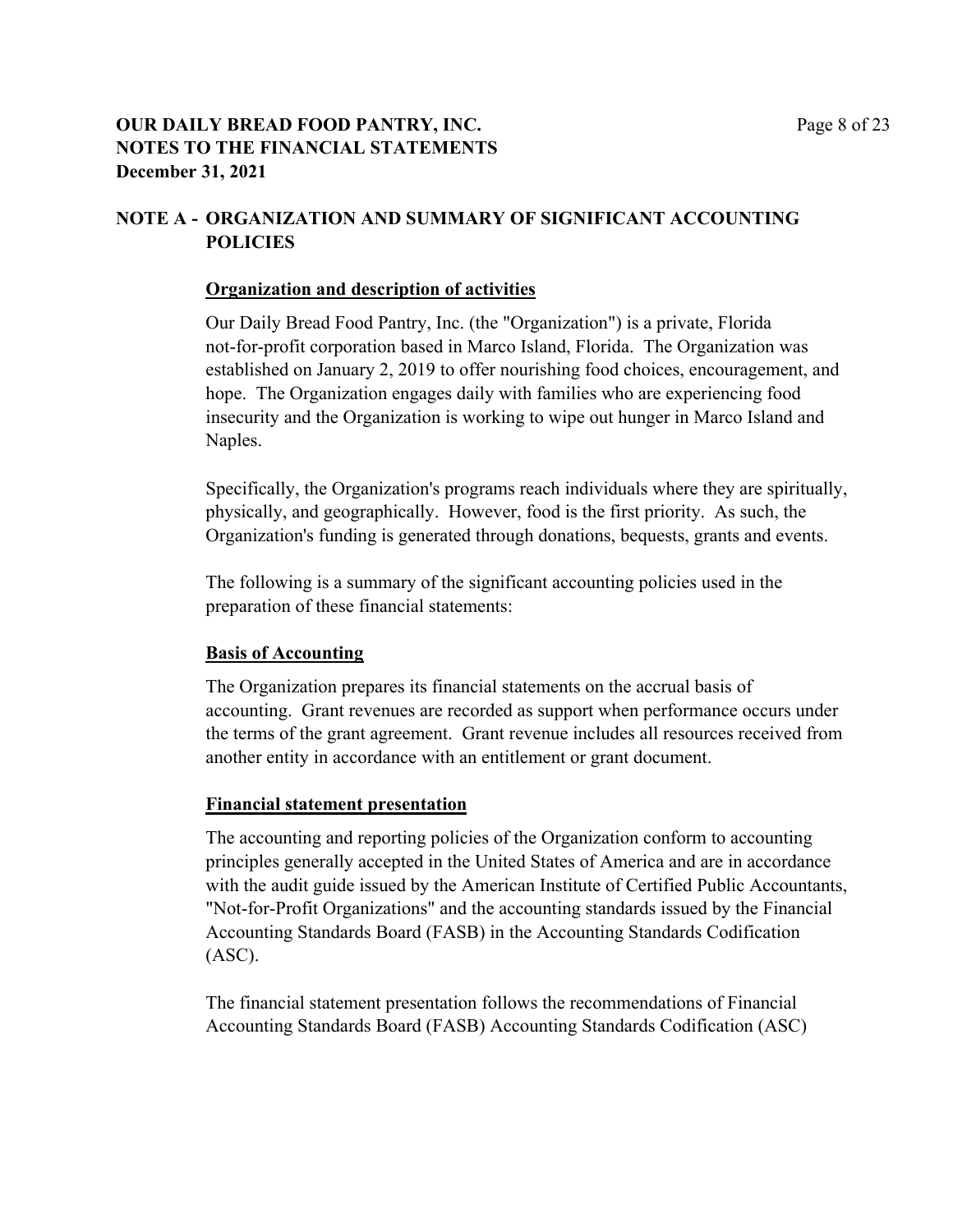### **OUR DAILY BREAD FOOD PANTRY, INC.** Page 8 of 23 **NOTES TO THE FINANCIAL STATEMENTS December 31, 2021**

### **NOTE A - ORGANIZATION AND SUMMARY OF SIGNIFICANT ACCOUNTING POLICIES**

#### **Organization and description of activities**

Our Daily Bread Food Pantry, Inc. (the "Organization") is a private, Florida not-for-profit corporation based in Marco Island, Florida. The Organization was established on January 2, 2019 to offer nourishing food choices, encouragement, and hope. The Organization engages daily with families who are experiencing food insecurity and the Organization is working to wipe out hunger in Marco Island and Naples.

Specifically, the Organization's programs reach individuals where they are spiritually, physically, and geographically. However, food is the first priority. As such, the Organization's funding is generated through donations, bequests, grants and events.

The following is a summary of the significant accounting policies used in the preparation of these financial statements:

### **Basis of Accounting**

The Organization prepares its financial statements on the accrual basis of accounting. Grant revenues are recorded as support when performance occurs under the terms of the grant agreement. Grant revenue includes all resources received from another entity in accordance with an entitlement or grant document.

### **Financial statement presentation**

The accounting and reporting policies of the Organization conform to accounting principles generally accepted in the United States of America and are in accordance with the audit guide issued by the American Institute of Certified Public Accountants, "Not-for-Profit Organizations" and the accounting standards issued by the Financial Accounting Standards Board (FASB) in the Accounting Standards Codification (ASC).

The financial statement presentation follows the recommendations of Financial Accounting Standards Board (FASB) Accounting Standards Codification (ASC)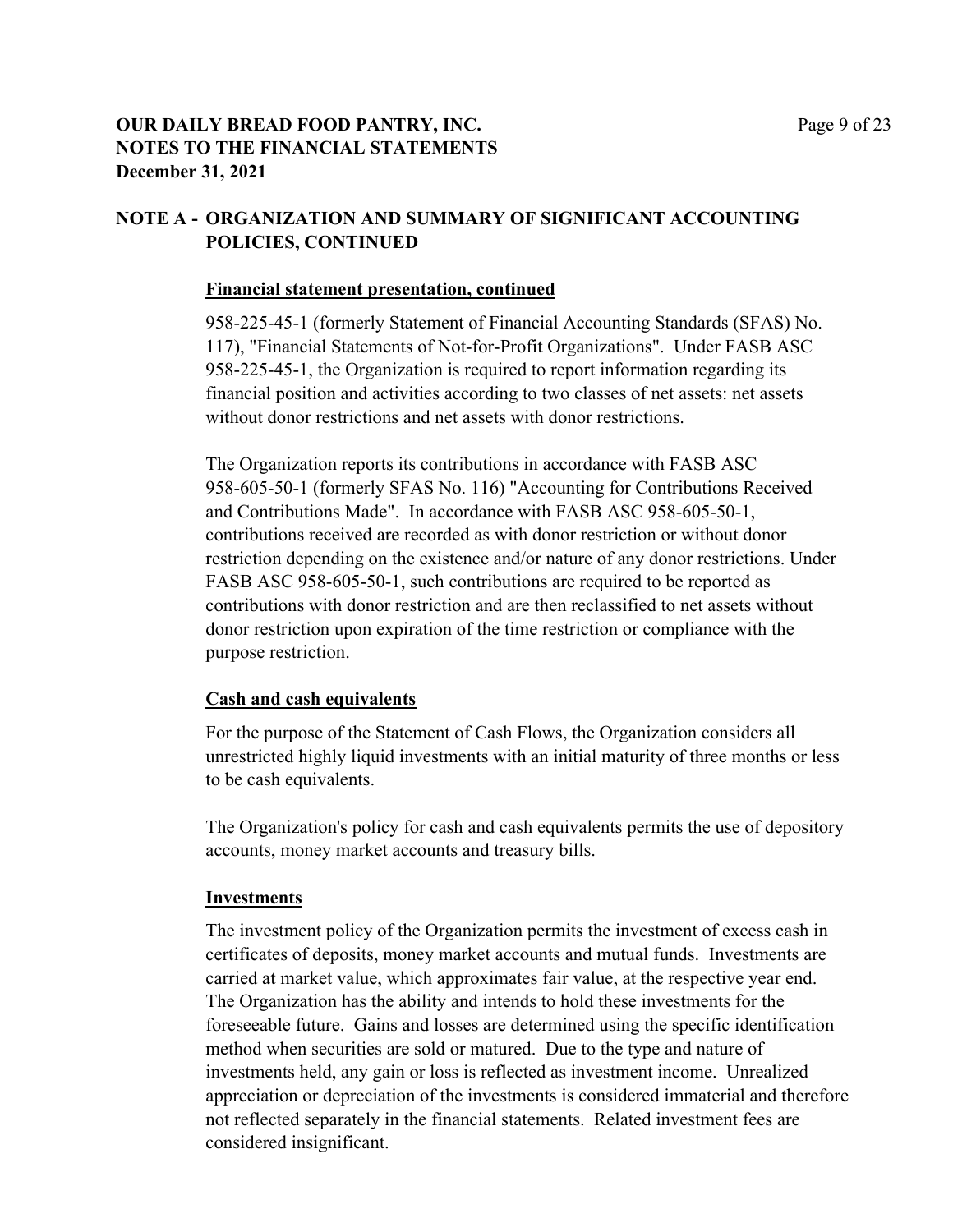### **OUR DAILY BREAD FOOD PANTRY, INC.** Page 9 of 23 **NOTES TO THE FINANCIAL STATEMENTS December 31, 2021**

## **NOTE A - ORGANIZATION AND SUMMARY OF SIGNIFICANT ACCOUNTING POLICIES, CONTINUED**

### **Financial statement presentation, continued**

958-225-45-1 (formerly Statement of Financial Accounting Standards (SFAS) No. 117), "Financial Statements of Not-for-Profit Organizations". Under FASB ASC 958-225-45-1, the Organization is required to report information regarding its financial position and activities according to two classes of net assets: net assets without donor restrictions and net assets with donor restrictions.

The Organization reports its contributions in accordance with FASB ASC 958-605-50-1 (formerly SFAS No. 116) "Accounting for Contributions Received and Contributions Made". In accordance with FASB ASC 958-605-50-1, contributions received are recorded as with donor restriction or without donor restriction depending on the existence and/or nature of any donor restrictions. Under FASB ASC 958-605-50-1, such contributions are required to be reported as contributions with donor restriction and are then reclassified to net assets without donor restriction upon expiration of the time restriction or compliance with the purpose restriction.

### **Cash and cash equivalents**

For the purpose of the Statement of Cash Flows, the Organization considers all unrestricted highly liquid investments with an initial maturity of three months or less to be cash equivalents.

The Organization's policy for cash and cash equivalents permits the use of depository accounts, money market accounts and treasury bills.

### **Investments**

The investment policy of the Organization permits the investment of excess cash in certificates of deposits, money market accounts and mutual funds. Investments are carried at market value, which approximates fair value, at the respective year end. The Organization has the ability and intends to hold these investments for the foreseeable future. Gains and losses are determined using the specific identification method when securities are sold or matured. Due to the type and nature of investments held, any gain or loss is reflected as investment income. Unrealized appreciation or depreciation of the investments is considered immaterial and therefore not reflected separately in the financial statements. Related investment fees are considered insignificant.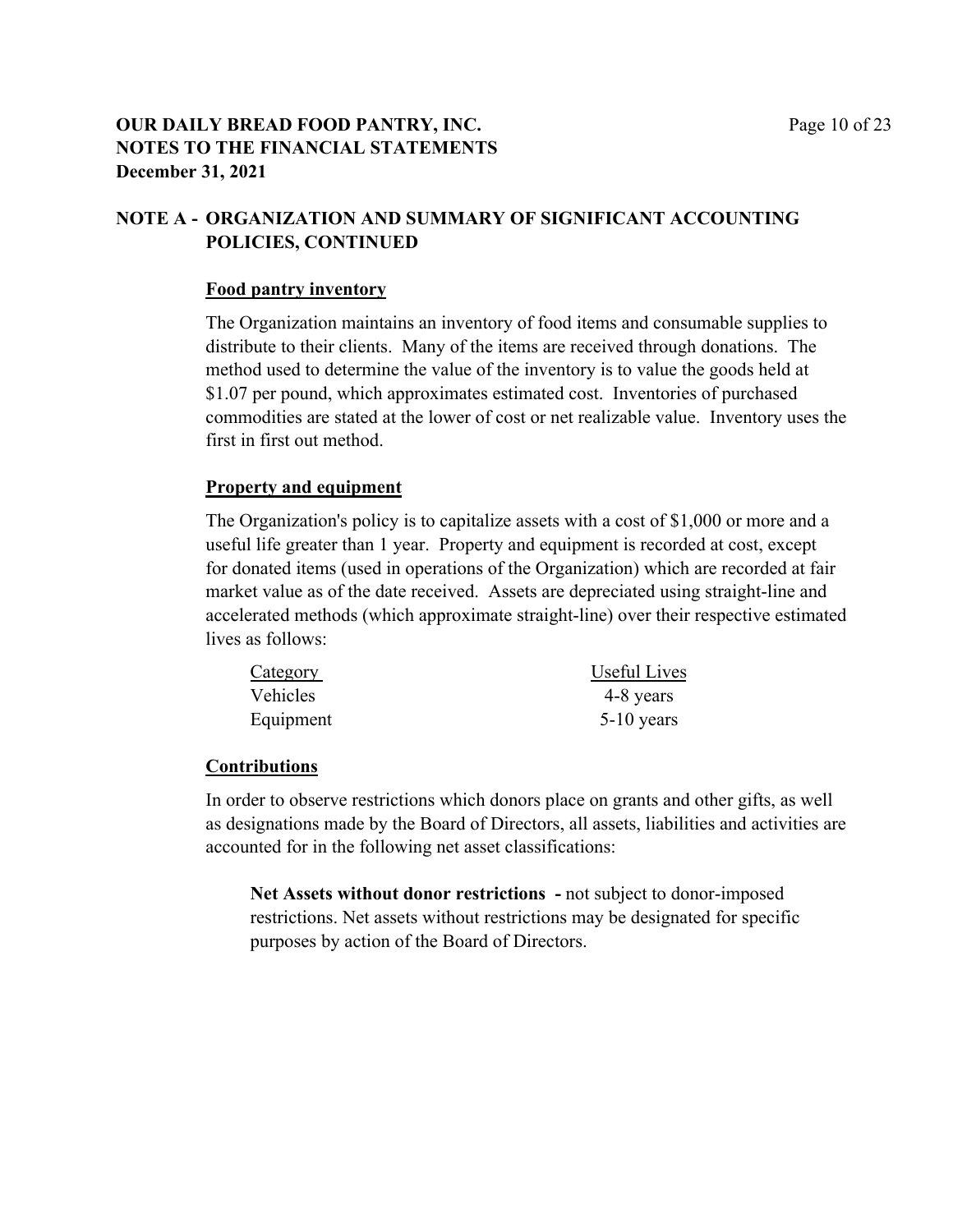### **OUR DAILY BREAD FOOD PANTRY, INC.** Page 10 of 23 **NOTES TO THE FINANCIAL STATEMENTS December 31, 2021**

## **NOTE A - ORGANIZATION AND SUMMARY OF SIGNIFICANT ACCOUNTING POLICIES, CONTINUED**

### **Food pantry inventory**

The Organization maintains an inventory of food items and consumable supplies to distribute to their clients. Many of the items are received through donations. The method used to determine the value of the inventory is to value the goods held at \$1.07 per pound, which approximates estimated cost. Inventories of purchased commodities are stated at the lower of cost or net realizable value. Inventory uses the first in first out method.

### **Property and equipment**

The Organization's policy is to capitalize assets with a cost of \$1,000 or more and a useful life greater than 1 year. Property and equipment is recorded at cost, except for donated items (used in operations of the Organization) which are recorded at fair market value as of the date received. Assets are depreciated using straight-line and accelerated methods (which approximate straight-line) over their respective estimated lives as follows:

| Category  | Useful Lives |
|-----------|--------------|
| Vehicles  | 4-8 years    |
| Equipment | $5-10$ years |

### **Contributions**

In order to observe restrictions which donors place on grants and other gifts, as well as designations made by the Board of Directors, all assets, liabilities and activities are accounted for in the following net asset classifications:

**Net Assets without donor restrictions -** not subject to donor-imposed restrictions. Net assets without restrictions may be designated for specific purposes by action of the Board of Directors.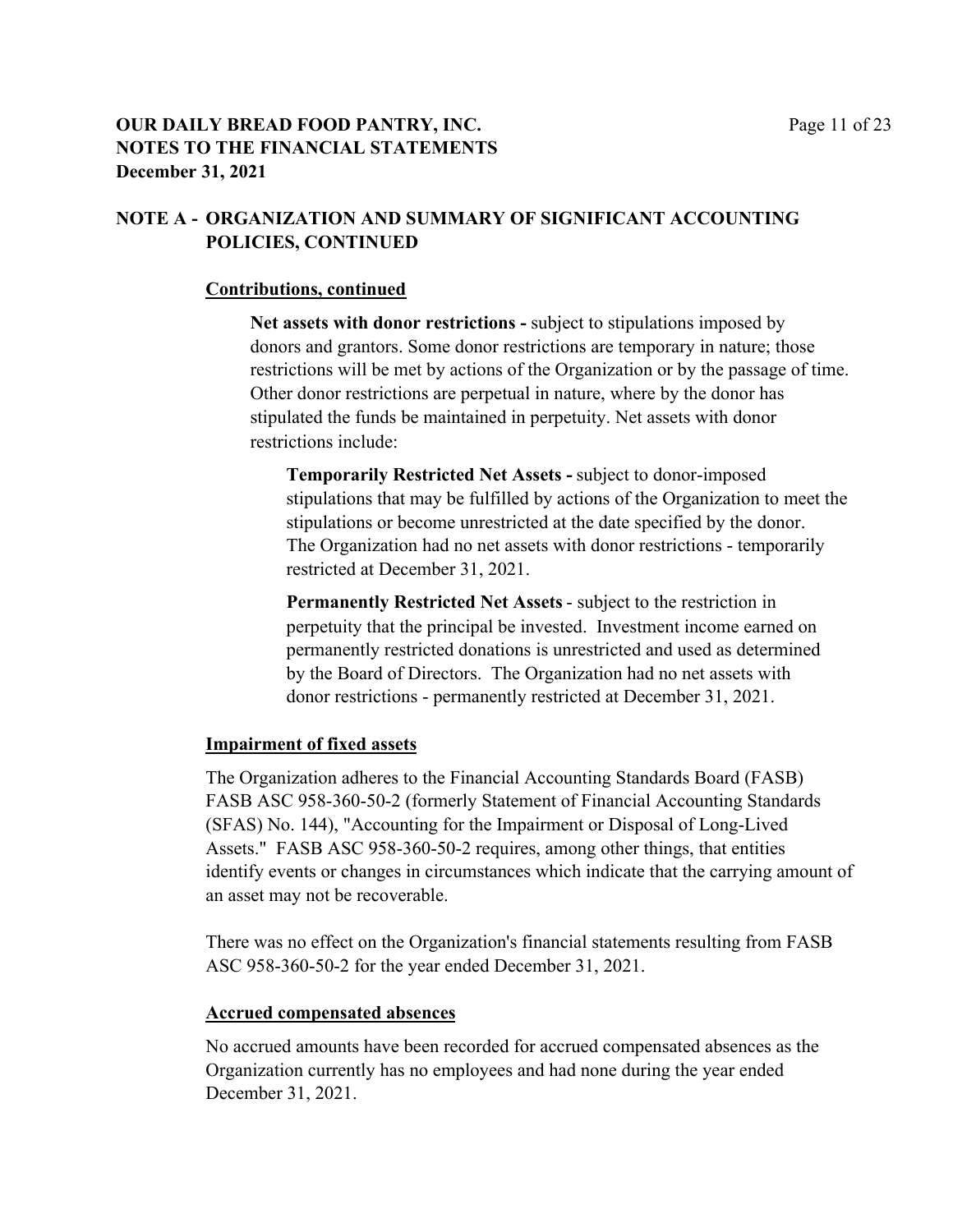### **OUR DAILY BREAD FOOD PANTRY, INC.** Page 11 of 23 **NOTES TO THE FINANCIAL STATEMENTS December 31, 2021**

### **NOTE A - ORGANIZATION AND SUMMARY OF SIGNIFICANT ACCOUNTING POLICIES, CONTINUED**

#### **Contributions, continued**

**Net assets with donor restrictions -** subject to stipulations imposed by donors and grantors. Some donor restrictions are temporary in nature; those restrictions will be met by actions of the Organization or by the passage of time. Other donor restrictions are perpetual in nature, where by the donor has stipulated the funds be maintained in perpetuity. Net assets with donor restrictions include:

**Temporarily Restricted Net Assets -** subject to donor-imposed stipulations that may be fulfilled by actions of the Organization to meet the stipulations or become unrestricted at the date specified by the donor. The Organization had no net assets with donor restrictions - temporarily restricted at December 31, 2021.

**Permanently Restricted Net Assets** - subject to the restriction in perpetuity that the principal be invested. Investment income earned on permanently restricted donations is unrestricted and used as determined by the Board of Directors. The Organization had no net assets with donor restrictions - permanently restricted at December 31, 2021.

### **Impairment of fixed assets**

The Organization adheres to the Financial Accounting Standards Board (FASB) FASB ASC 958-360-50-2 (formerly Statement of Financial Accounting Standards (SFAS) No. 144), "Accounting for the Impairment or Disposal of Long-Lived Assets." FASB ASC 958-360-50-2 requires, among other things, that entities identify events or changes in circumstances which indicate that the carrying amount of an asset may not be recoverable.

There was no effect on the Organization's financial statements resulting from FASB ASC 958-360-50-2 for the year ended December 31, 2021.

#### **Accrued compensated absences**

No accrued amounts have been recorded for accrued compensated absences as the Organization currently has no employees and had none during the year ended December 31, 2021.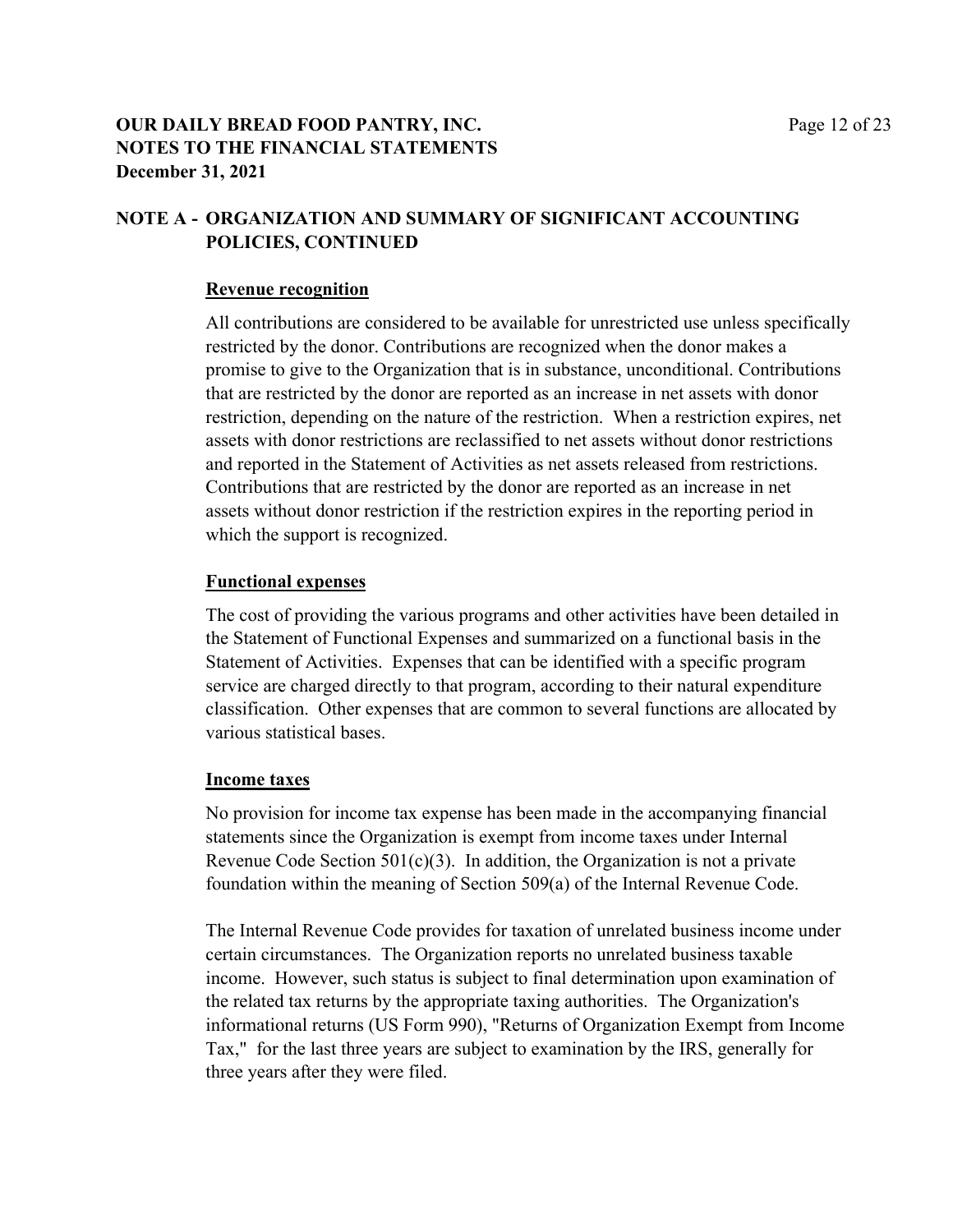### **OUR DAILY BREAD FOOD PANTRY, INC.** Page 12 of 23 **NOTES TO THE FINANCIAL STATEMENTS December 31, 2021**

## **NOTE A - ORGANIZATION AND SUMMARY OF SIGNIFICANT ACCOUNTING POLICIES, CONTINUED**

### **Revenue recognition**

All contributions are considered to be available for unrestricted use unless specifically restricted by the donor. Contributions are recognized when the donor makes a promise to give to the Organization that is in substance, unconditional. Contributions that are restricted by the donor are reported as an increase in net assets with donor restriction, depending on the nature of the restriction. When a restriction expires, net assets with donor restrictions are reclassified to net assets without donor restrictions and reported in the Statement of Activities as net assets released from restrictions. Contributions that are restricted by the donor are reported as an increase in net assets without donor restriction if the restriction expires in the reporting period in which the support is recognized.

### **Functional expenses**

The cost of providing the various programs and other activities have been detailed in the Statement of Functional Expenses and summarized on a functional basis in the Statement of Activities. Expenses that can be identified with a specific program service are charged directly to that program, according to their natural expenditure classification. Other expenses that are common to several functions are allocated by various statistical bases.

### **Income taxes**

No provision for income tax expense has been made in the accompanying financial statements since the Organization is exempt from income taxes under Internal Revenue Code Section  $501(c)(3)$ . In addition, the Organization is not a private foundation within the meaning of Section 509(a) of the Internal Revenue Code.

The Internal Revenue Code provides for taxation of unrelated business income under certain circumstances. The Organization reports no unrelated business taxable income. However, such status is subject to final determination upon examination of the related tax returns by the appropriate taxing authorities. The Organization's informational returns (US Form 990), "Returns of Organization Exempt from Income Tax," for the last three years are subject to examination by the IRS, generally for three years after they were filed.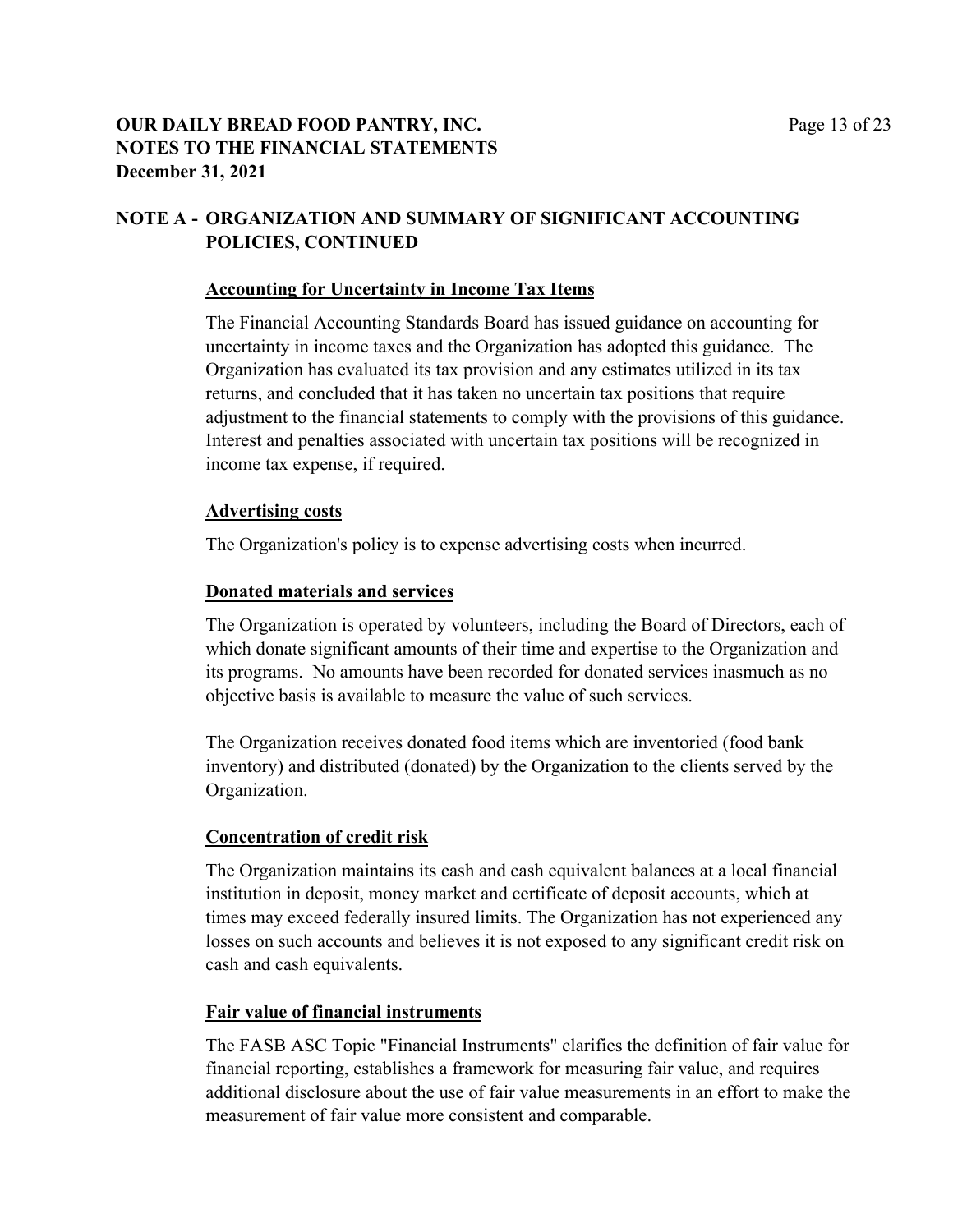### **OUR DAILY BREAD FOOD PANTRY, INC.** Page 13 of 23 **NOTES TO THE FINANCIAL STATEMENTS December 31, 2021**

## **NOTE A - ORGANIZATION AND SUMMARY OF SIGNIFICANT ACCOUNTING POLICIES, CONTINUED**

#### **Accounting for Uncertainty in Income Tax Items**

The Financial Accounting Standards Board has issued guidance on accounting for uncertainty in income taxes and the Organization has adopted this guidance. The Organization has evaluated its tax provision and any estimates utilized in its tax returns, and concluded that it has taken no uncertain tax positions that require adjustment to the financial statements to comply with the provisions of this guidance. Interest and penalties associated with uncertain tax positions will be recognized in income tax expense, if required.

#### **Advertising costs**

The Organization's policy is to expense advertising costs when incurred.

### **Donated materials and services**

The Organization is operated by volunteers, including the Board of Directors, each of which donate significant amounts of their time and expertise to the Organization and its programs. No amounts have been recorded for donated services inasmuch as no objective basis is available to measure the value of such services.

The Organization receives donated food items which are inventoried (food bank inventory) and distributed (donated) by the Organization to the clients served by the Organization.

### **Concentration of credit risk**

The Organization maintains its cash and cash equivalent balances at a local financial institution in deposit, money market and certificate of deposit accounts, which at times may exceed federally insured limits. The Organization has not experienced any losses on such accounts and believes it is not exposed to any significant credit risk on cash and cash equivalents.

### **Fair value of financial instruments**

The FASB ASC Topic "Financial Instruments" clarifies the definition of fair value for financial reporting, establishes a framework for measuring fair value, and requires additional disclosure about the use of fair value measurements in an effort to make the measurement of fair value more consistent and comparable.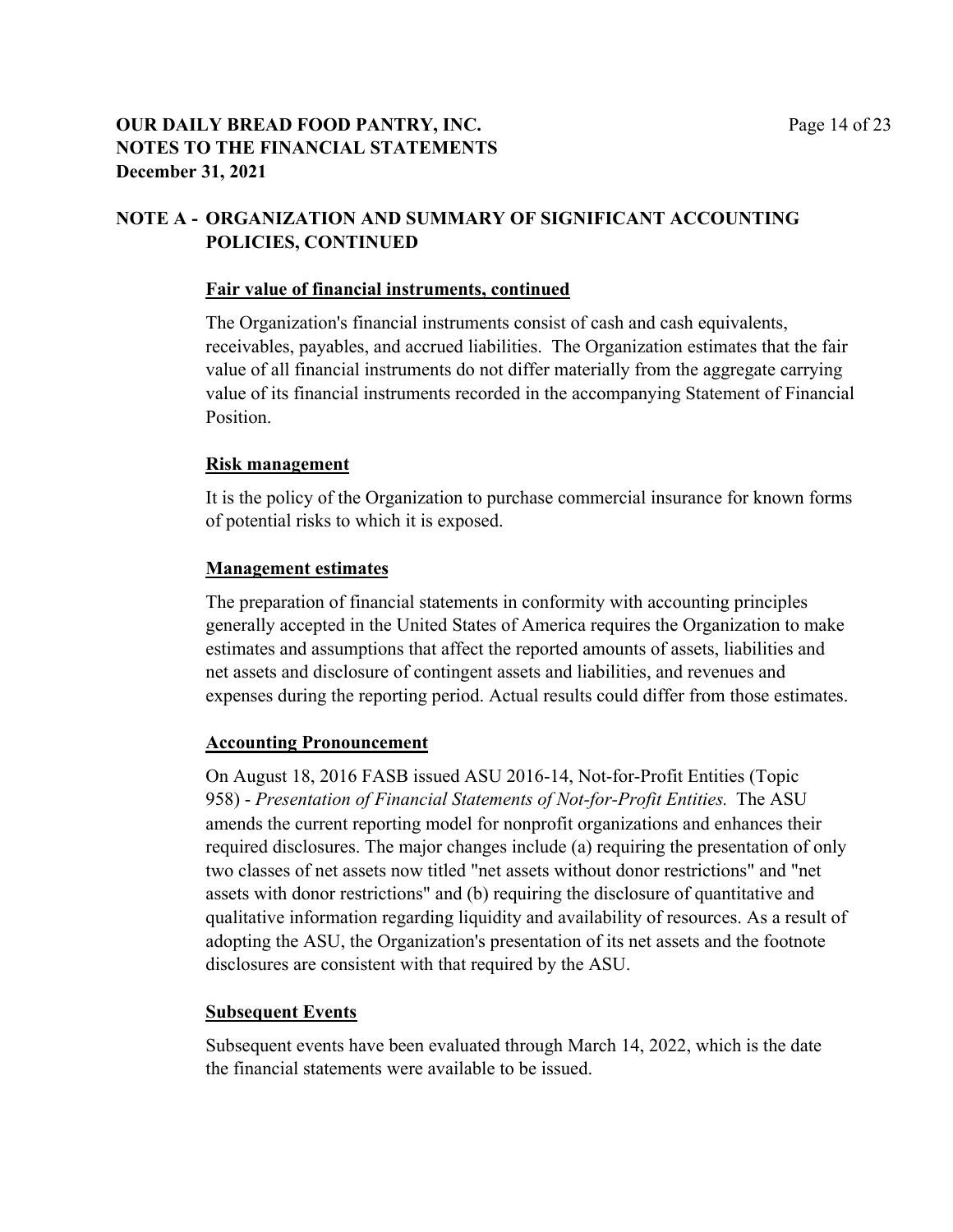### **OUR DAILY BREAD FOOD PANTRY, INC.** Page 14 of 23 **NOTES TO THE FINANCIAL STATEMENTS December 31, 2021**

## **NOTE A - ORGANIZATION AND SUMMARY OF SIGNIFICANT ACCOUNTING POLICIES, CONTINUED**

#### **Fair value of financial instruments, continued**

The Organization's financial instruments consist of cash and cash equivalents, receivables, payables, and accrued liabilities. The Organization estimates that the fair value of all financial instruments do not differ materially from the aggregate carrying value of its financial instruments recorded in the accompanying Statement of Financial Position.

#### **Risk management**

It is the policy of the Organization to purchase commercial insurance for known forms of potential risks to which it is exposed.

### **Management estimates**

The preparation of financial statements in conformity with accounting principles generally accepted in the United States of America requires the Organization to make estimates and assumptions that affect the reported amounts of assets, liabilities and net assets and disclosure of contingent assets and liabilities, and revenues and expenses during the reporting period. Actual results could differ from those estimates.

### **Accounting Pronouncement**

On August 18, 2016 FASB issued ASU 2016-14, Not-for-Profit Entities (Topic 958) - *Presentation of Financial Statements of Not-for-Profit Entities.* The ASU amends the current reporting model for nonprofit organizations and enhances their required disclosures. The major changes include (a) requiring the presentation of only two classes of net assets now titled "net assets without donor restrictions" and "net assets with donor restrictions" and (b) requiring the disclosure of quantitative and qualitative information regarding liquidity and availability of resources. As a result of adopting the ASU, the Organization's presentation of its net assets and the footnote disclosures are consistent with that required by the ASU.

### **Subsequent Events**

Subsequent events have been evaluated through March 14, 2022, which is the date the financial statements were available to be issued.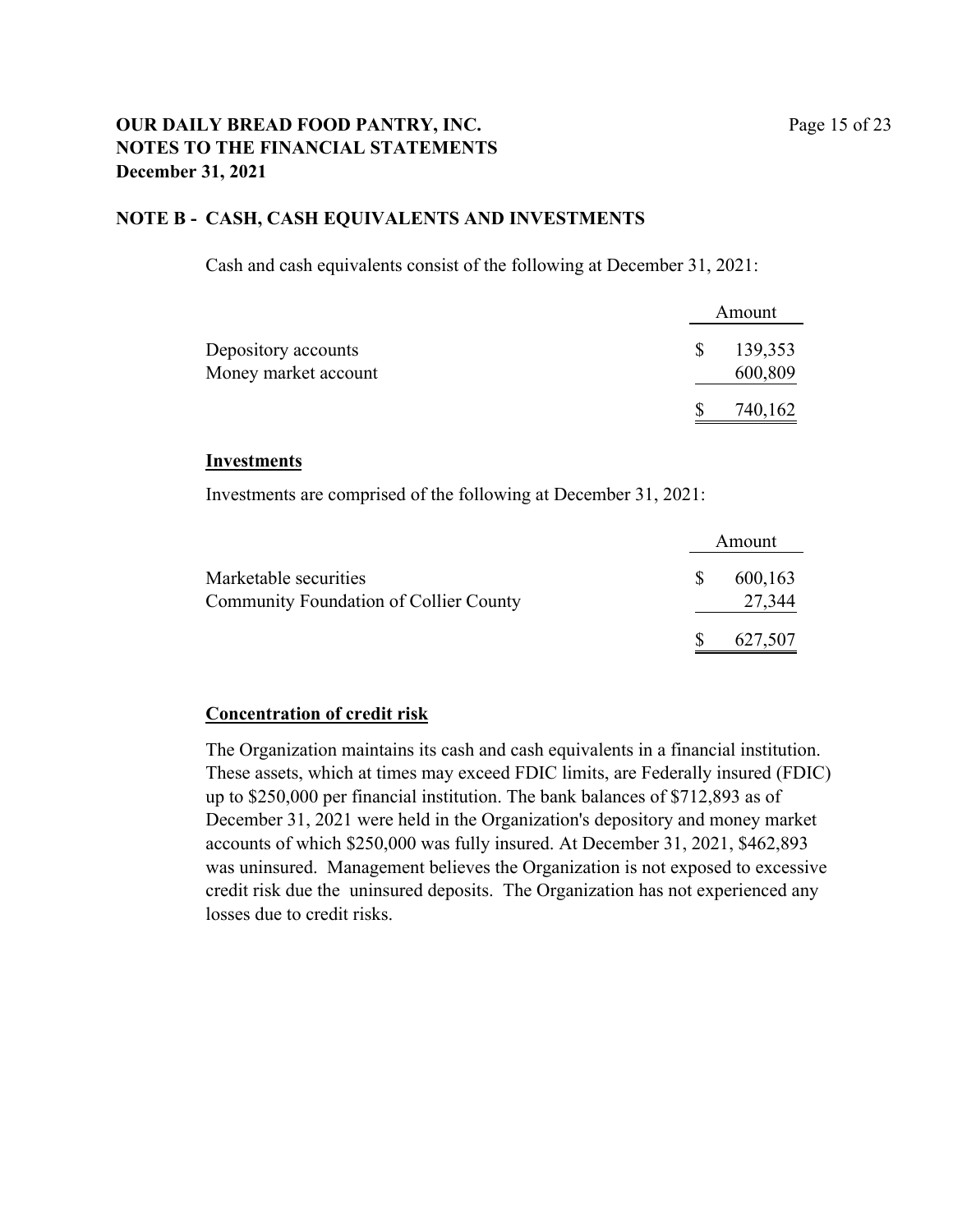### **OUR DAILY BREAD FOOD PANTRY, INC.** Page 15 of 23 **NOTES TO THE FINANCIAL STATEMENTS December 31, 2021**

### **NOTE B - CASH, CASH EQUIVALENTS AND INVESTMENTS**

Cash and cash equivalents consist of the following at December 31, 2021:

|                      |              | Amount  |
|----------------------|--------------|---------|
| Depository accounts  | <sup>S</sup> | 139,353 |
| Money market account |              | 600,809 |
|                      |              | 740,162 |

#### **Investments**

Investments are comprised of the following at December 31, 2021:

|                                               |               | Amount  |
|-----------------------------------------------|---------------|---------|
| Marketable securities                         | <sup>\$</sup> | 600,163 |
| <b>Community Foundation of Collier County</b> |               | 27,344  |
|                                               | <sup>S</sup>  | 627,507 |

### **Concentration of credit risk**

The Organization maintains its cash and cash equivalents in a financial institution. These assets, which at times may exceed FDIC limits, are Federally insured (FDIC) up to \$250,000 per financial institution. The bank balances of \$712,893 as of December 31, 2021 were held in the Organization's depository and money market accounts of which \$250,000 was fully insured. At December 31, 2021, \$462,893 was uninsured. Management believes the Organization is not exposed to excessive credit risk due the uninsured deposits. The Organization has not experienced any losses due to credit risks.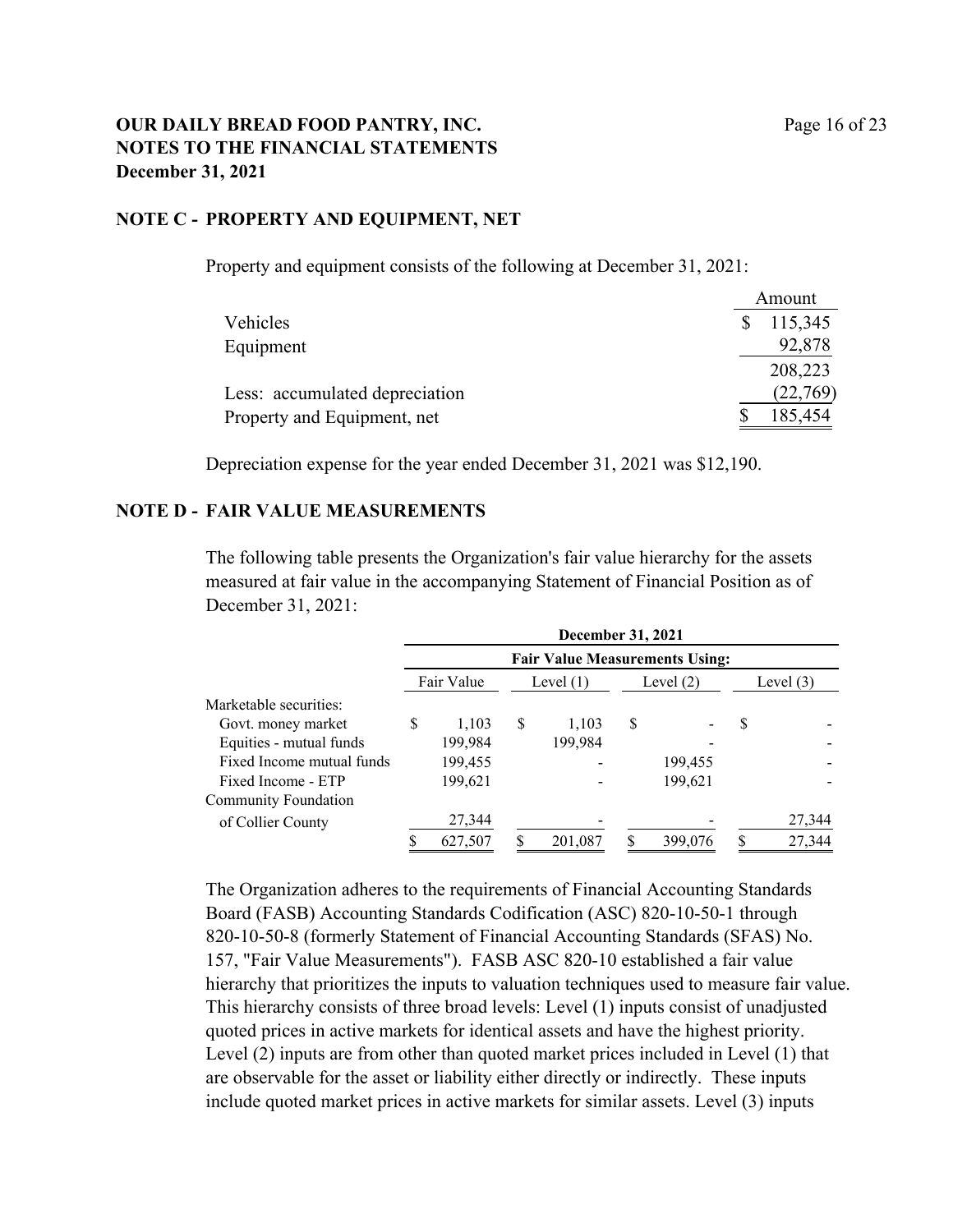### **OUR DAILY BREAD FOOD PANTRY, INC.** Page 16 of 23 **NOTES TO THE FINANCIAL STATEMENTS December 31, 2021**

### **NOTE C - PROPERTY AND EQUIPMENT, NET**

Property and equipment consists of the following at December 31, 2021:

|                                | Amount   |
|--------------------------------|----------|
| Vehicles                       | 115,345  |
| Equipment                      | 92,878   |
|                                | 208,223  |
| Less: accumulated depreciation | (22,769) |
| Property and Equipment, net    | 185,454  |

Depreciation expense for the year ended December 31, 2021 was \$12,190.

#### **NOTE D - FAIR VALUE MEASUREMENTS**

The following table presents the Organization's fair value hierarchy for the assets measured at fair value in the accompanying Statement of Financial Position as of December 31, 2021:

|                           |   | December 31, 2021<br><b>Fair Value Measurements Using:</b> |   |             |    |             |   |             |
|---------------------------|---|------------------------------------------------------------|---|-------------|----|-------------|---|-------------|
|                           |   |                                                            |   |             |    |             |   |             |
|                           |   | Fair Value                                                 |   | Level $(1)$ |    | Level $(2)$ |   | Level $(3)$ |
| Marketable securities:    |   |                                                            |   |             |    |             |   |             |
| Govt. money market        | S | 1.103                                                      | S | 1.103       | \$ |             | S |             |
| Equities - mutual funds   |   | 199,984                                                    |   | 199,984     |    |             |   |             |
| Fixed Income mutual funds |   | 199,455                                                    |   |             |    | 199,455     |   |             |
| Fixed Income - ETP        |   | 199,621                                                    |   |             |    | 199,621     |   |             |
| Community Foundation      |   |                                                            |   |             |    |             |   |             |
| of Collier County         |   | 27,344                                                     |   |             |    |             |   | 27,344      |
|                           |   | 627,507                                                    |   | 201,087     |    | 399,076     |   | 27,344      |

The Organization adheres to the requirements of Financial Accounting Standards Board (FASB) Accounting Standards Codification (ASC) 820-10-50-1 through 820-10-50-8 (formerly Statement of Financial Accounting Standards (SFAS) No. 157, "Fair Value Measurements"). FASB ASC 820-10 established a fair value hierarchy that prioritizes the inputs to valuation techniques used to measure fair value. This hierarchy consists of three broad levels: Level (1) inputs consist of unadjusted quoted prices in active markets for identical assets and have the highest priority. Level (2) inputs are from other than quoted market prices included in Level (1) that are observable for the asset or liability either directly or indirectly. These inputs include quoted market prices in active markets for similar assets. Level (3) inputs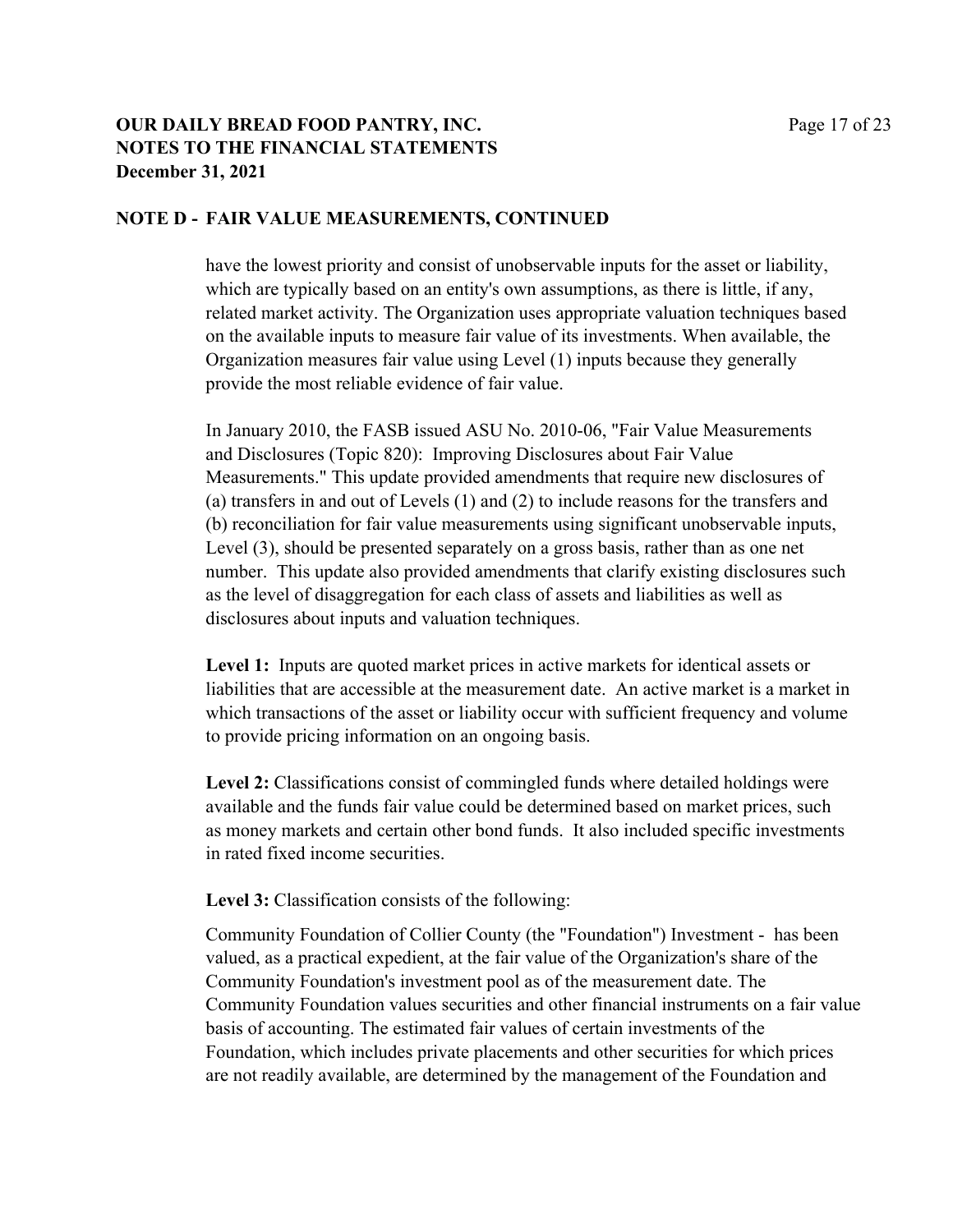### **OUR DAILY BREAD FOOD PANTRY, INC.** Page 17 of 23 **NOTES TO THE FINANCIAL STATEMENTS December 31, 2021**

### **NOTE D - FAIR VALUE MEASUREMENTS, CONTINUED**

have the lowest priority and consist of unobservable inputs for the asset or liability, which are typically based on an entity's own assumptions, as there is little, if any, related market activity. The Organization uses appropriate valuation techniques based on the available inputs to measure fair value of its investments. When available, the Organization measures fair value using Level (1) inputs because they generally provide the most reliable evidence of fair value.

In January 2010, the FASB issued ASU No. 2010-06, "Fair Value Measurements and Disclosures (Topic 820): Improving Disclosures about Fair Value Measurements." This update provided amendments that require new disclosures of (a) transfers in and out of Levels (1) and (2) to include reasons for the transfers and (b) reconciliation for fair value measurements using significant unobservable inputs, Level (3), should be presented separately on a gross basis, rather than as one net number. This update also provided amendments that clarify existing disclosures such as the level of disaggregation for each class of assets and liabilities as well as disclosures about inputs and valuation techniques.

**Level 1:** Inputs are quoted market prices in active markets for identical assets or liabilities that are accessible at the measurement date. An active market is a market in which transactions of the asset or liability occur with sufficient frequency and volume to provide pricing information on an ongoing basis.

**Level 2:** Classifications consist of commingled funds where detailed holdings were available and the funds fair value could be determined based on market prices, such as money markets and certain other bond funds. It also included specific investments in rated fixed income securities.

**Level 3:** Classification consists of the following:

Community Foundation of Collier County (the "Foundation") Investment - has been valued, as a practical expedient, at the fair value of the Organization's share of the Community Foundation's investment pool as of the measurement date. The Community Foundation values securities and other financial instruments on a fair value basis of accounting. The estimated fair values of certain investments of the Foundation, which includes private placements and other securities for which prices are not readily available, are determined by the management of the Foundation and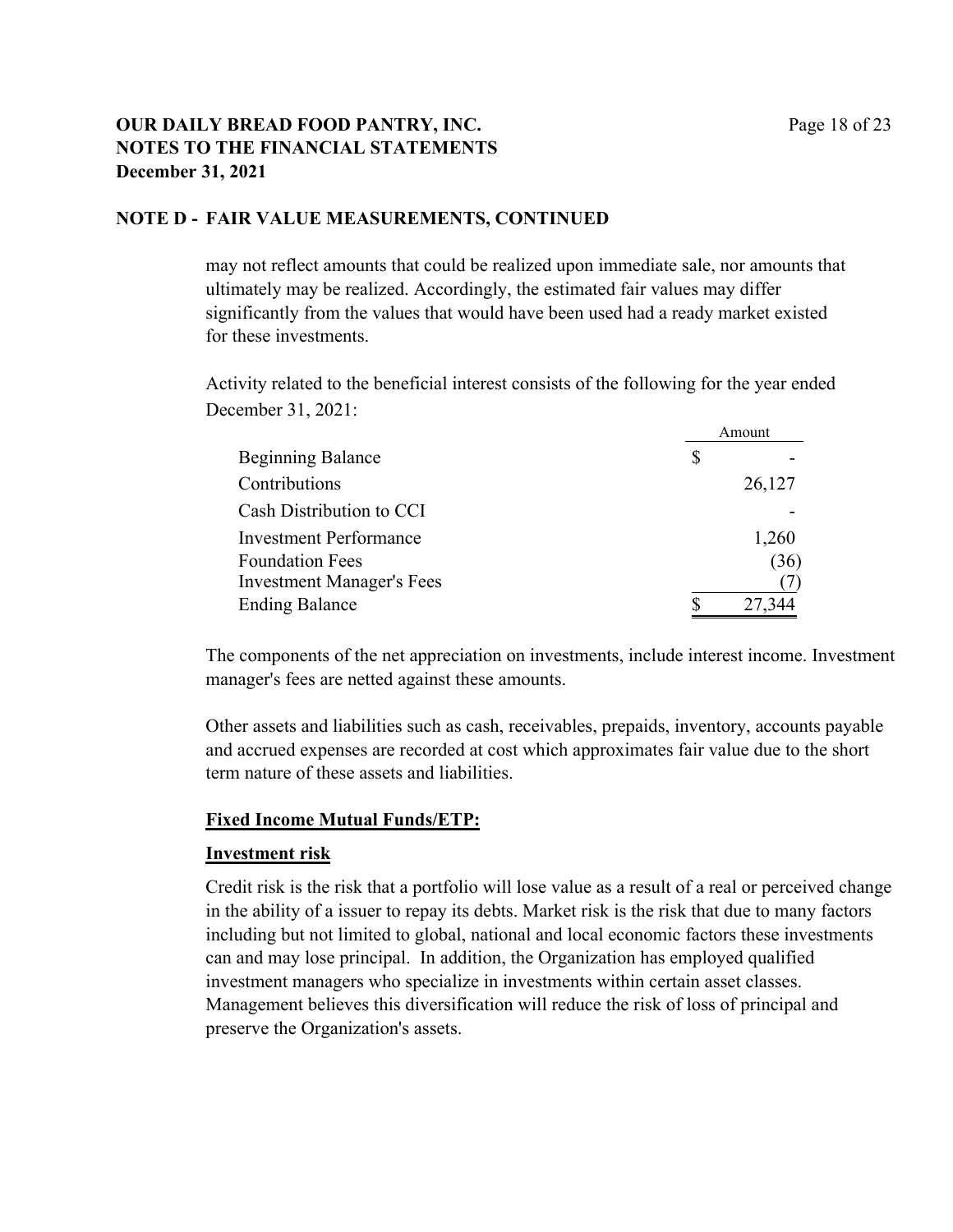### **OUR DAILY BREAD FOOD PANTRY, INC.** Page 18 of 23 **NOTES TO THE FINANCIAL STATEMENTS December 31, 2021**

### **NOTE D - FAIR VALUE MEASUREMENTS, CONTINUED**

may not reflect amounts that could be realized upon immediate sale, nor amounts that ultimately may be realized. Accordingly, the estimated fair values may differ significantly from the values that would have been used had a ready market existed for these investments.

Activity related to the beneficial interest consists of the following for the year ended December 31, 2021:

|                                  | Amount |
|----------------------------------|--------|
| <b>Beginning Balance</b>         | \$     |
| Contributions                    | 26,127 |
| Cash Distribution to CCI         |        |
| <b>Investment Performance</b>    | 1,260  |
| <b>Foundation Fees</b>           | (36)   |
| <b>Investment Manager's Fees</b> |        |
| <b>Ending Balance</b>            | 27,344 |

The components of the net appreciation on investments, include interest income. Investment manager's fees are netted against these amounts.

Other assets and liabilities such as cash, receivables, prepaids, inventory, accounts payable and accrued expenses are recorded at cost which approximates fair value due to the short term nature of these assets and liabilities.

### **Fixed Income Mutual Funds/ETP:**

### **Investment risk**

Credit risk is the risk that a portfolio will lose value as a result of a real or perceived change in the ability of a issuer to repay its debts. Market risk is the risk that due to many factors including but not limited to global, national and local economic factors these investments can and may lose principal. In addition, the Organization has employed qualified investment managers who specialize in investments within certain asset classes. Management believes this diversification will reduce the risk of loss of principal and preserve the Organization's assets.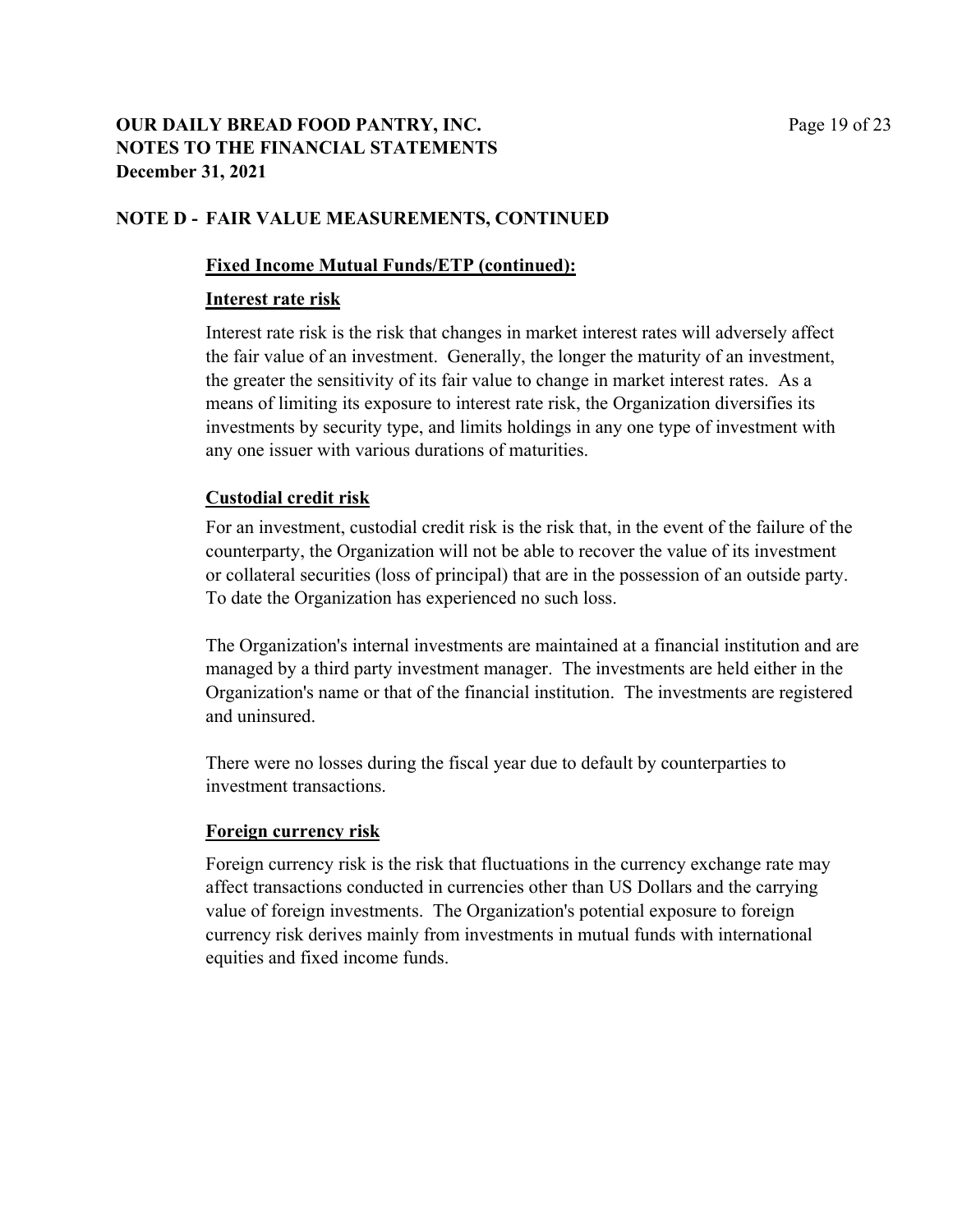### **OUR DAILY BREAD FOOD PANTRY, INC.** Page 19 of 23 **NOTES TO THE FINANCIAL STATEMENTS December 31, 2021**

### **NOTE D - FAIR VALUE MEASUREMENTS, CONTINUED**

### **Fixed Income Mutual Funds/ETP (continued):**

### **Interest rate risk**

Interest rate risk is the risk that changes in market interest rates will adversely affect the fair value of an investment. Generally, the longer the maturity of an investment, the greater the sensitivity of its fair value to change in market interest rates. As a means of limiting its exposure to interest rate risk, the Organization diversifies its investments by security type, and limits holdings in any one type of investment with any one issuer with various durations of maturities.

### **Custodial credit risk**

For an investment, custodial credit risk is the risk that, in the event of the failure of the counterparty, the Organization will not be able to recover the value of its investment or collateral securities (loss of principal) that are in the possession of an outside party. To date the Organization has experienced no such loss.

The Organization's internal investments are maintained at a financial institution and are managed by a third party investment manager. The investments are held either in the Organization's name or that of the financial institution. The investments are registered and uninsured.

There were no losses during the fiscal year due to default by counterparties to investment transactions.

### **Foreign currency risk**

Foreign currency risk is the risk that fluctuations in the currency exchange rate may affect transactions conducted in currencies other than US Dollars and the carrying value of foreign investments. The Organization's potential exposure to foreign currency risk derives mainly from investments in mutual funds with international equities and fixed income funds.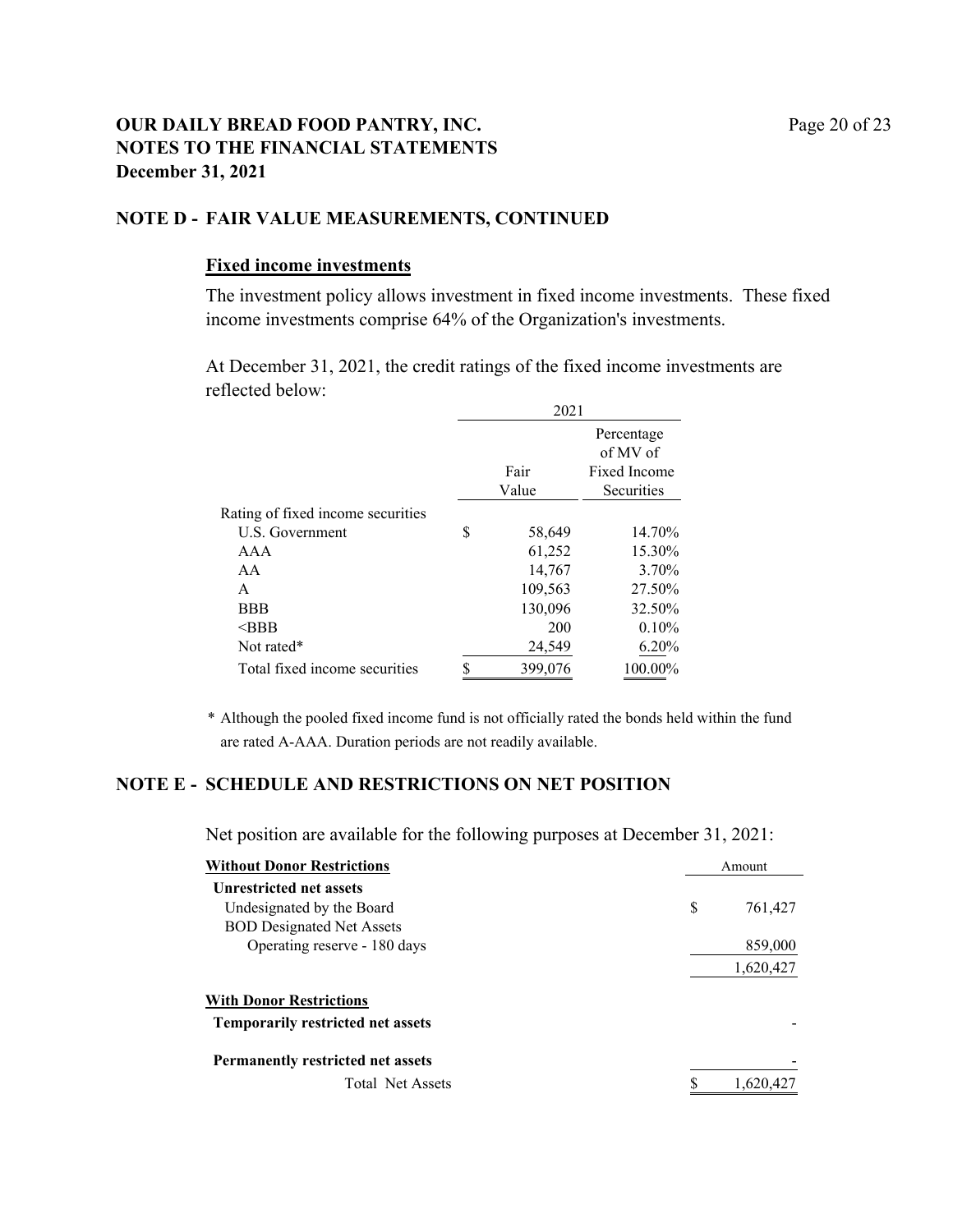### **OUR DAILY BREAD FOOD PANTRY, INC.** Page 20 of 23 **NOTES TO THE FINANCIAL STATEMENTS December 31, 2021**

#### **NOTE D - FAIR VALUE MEASUREMENTS, CONTINUED**

#### **Fixed income investments**

The investment policy allows investment in fixed income investments. These fixed income investments comprise 64% of the Organization's investments.

At December 31, 2021, the credit ratings of the fixed income investments are reflected below:

|                                   |   | 2021    |                        |  |
|-----------------------------------|---|---------|------------------------|--|
|                                   |   |         | Percentage<br>of MV of |  |
|                                   |   | Fair    | Fixed Income           |  |
|                                   |   | Value   | Securities             |  |
| Rating of fixed income securities |   |         |                        |  |
| U.S. Government                   | S | 58,649  | 14.70%                 |  |
| AAA                               |   | 61,252  | 15.30%                 |  |
| AA                                |   | 14,767  | 3.70%                  |  |
| A                                 |   | 109,563 | 27.50%                 |  |
| <b>BBB</b>                        |   | 130,096 | 32.50%                 |  |
| $\triangle$ BBB                   |   | 200     | 0.10%                  |  |
| Not rated*                        |   | 24,549  | 6.20%                  |  |
| Total fixed income securities     |   | 399,076 | 100.00%                |  |

\* Although the pooled fixed income fund is not officially rated the bonds held within the fund are rated A-AAA. Duration periods are not readily available.

### **NOTE E - SCHEDULE AND RESTRICTIONS ON NET POSITION**

Net position are available for the following purposes at December 31, 2021:

| <b>Without Donor Restrictions</b>        | Amount        |  |
|------------------------------------------|---------------|--|
| <b>Unrestricted net assets</b>           |               |  |
| Undesignated by the Board                | \$<br>761,427 |  |
| <b>BOD Designated Net Assets</b>         |               |  |
| Operating reserve - 180 days             | 859,000       |  |
|                                          | 1,620,427     |  |
| <b>With Donor Restrictions</b>           |               |  |
| <b>Temporarily restricted net assets</b> |               |  |
| <b>Permanently restricted net assets</b> |               |  |
| <b>Total Net Assets</b>                  | 1,620,427     |  |
|                                          |               |  |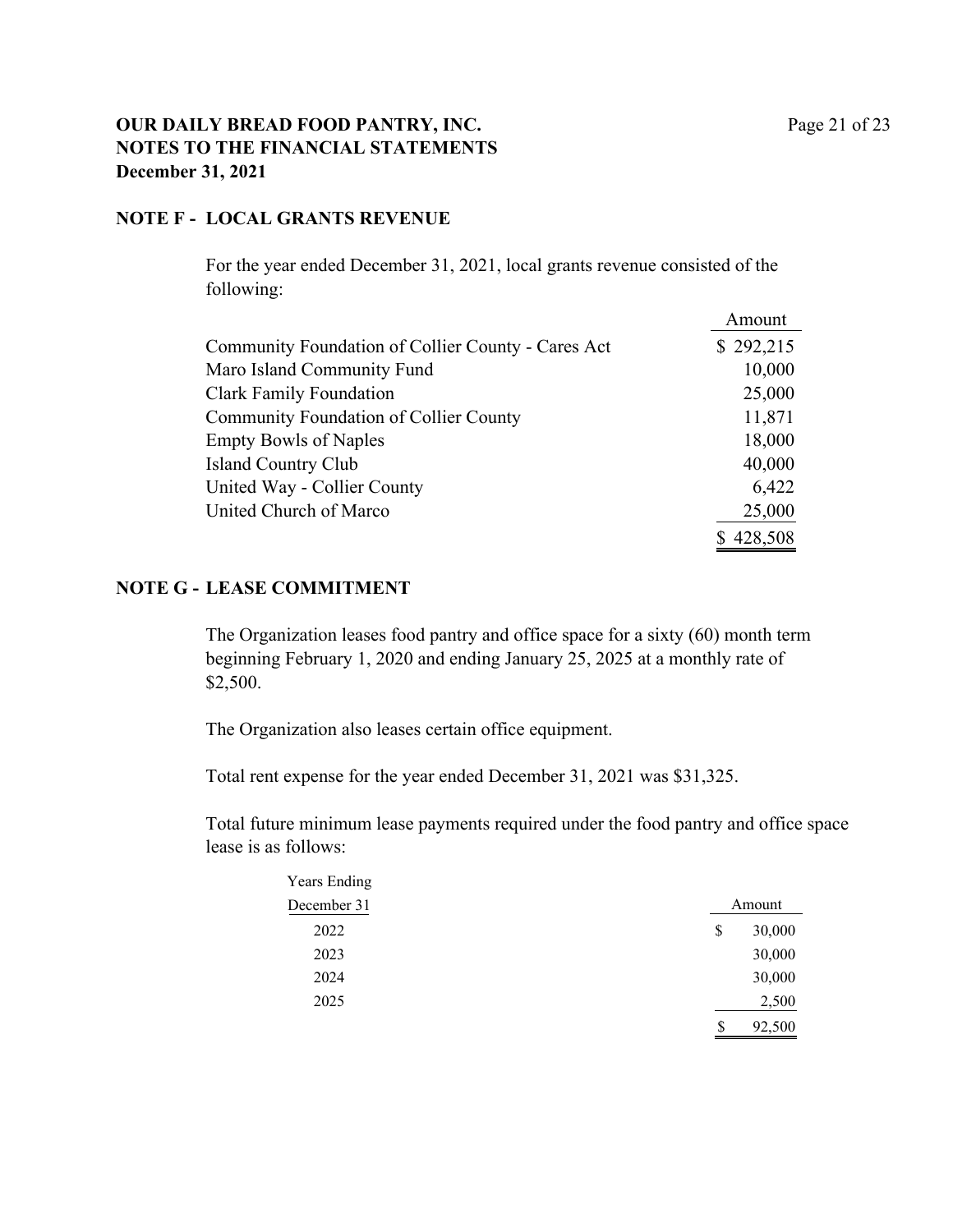### **OUR DAILY BREAD FOOD PANTRY, INC.** Page 21 of 23 **NOTES TO THE FINANCIAL STATEMENTS December 31, 2021**

### **NOTE F - LOCAL GRANTS REVENUE**

For the year ended December 31, 2021, local grants revenue consisted of the following:

|                                                    | Amount    |
|----------------------------------------------------|-----------|
| Community Foundation of Collier County - Cares Act | \$292,215 |
| Maro Island Community Fund                         | 10,000    |
| <b>Clark Family Foundation</b>                     | 25,000    |
| Community Foundation of Collier County             | 11,871    |
| <b>Empty Bowls of Naples</b>                       | 18,000    |
| <b>Island Country Club</b>                         | 40,000    |
| United Way - Collier County                        | 6,422     |
| United Church of Marco                             | 25,000    |
|                                                    | 428,508   |

#### **NOTE G - LEASE COMMITMENT**

The Organization leases food pantry and office space for a sixty (60) month term beginning February 1, 2020 and ending January 25, 2025 at a monthly rate of \$2,500.

The Organization also leases certain office equipment.

Total rent expense for the year ended December 31, 2021 was \$31,325.

Total future minimum lease payments required under the food pantry and office space lease is as follows:

| <b>Years Ending</b> |              |  |
|---------------------|--------------|--|
| December 31         | Amount       |  |
| 2022                | 30,000<br>\$ |  |
| 2023                | 30,000       |  |
| 2024                | 30,000       |  |
| 2025                | 2,500        |  |
|                     | \$<br>92,500 |  |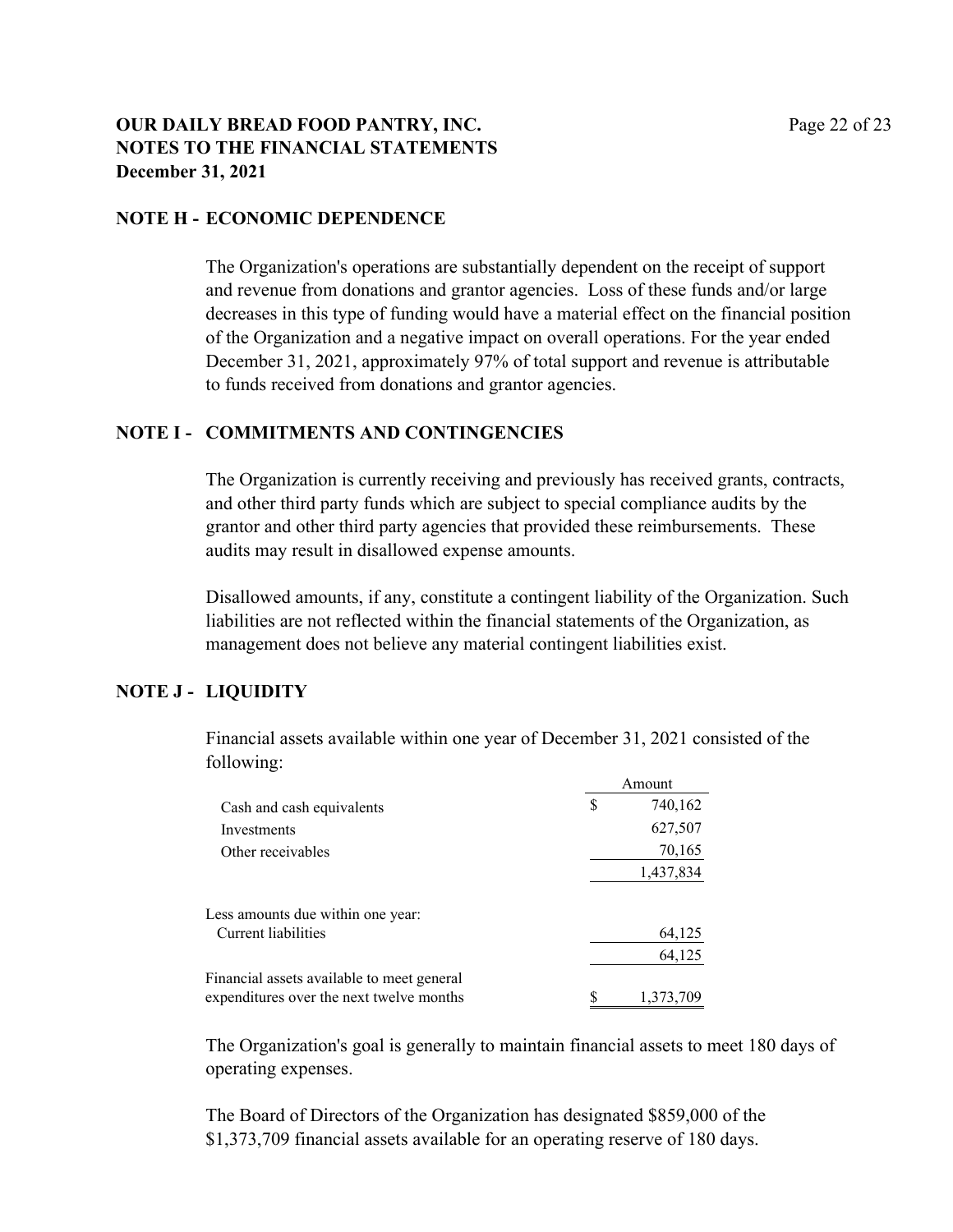### **OUR DAILY BREAD FOOD PANTRY, INC.** Page 22 of 23 **NOTES TO THE FINANCIAL STATEMENTS December 31, 2021**

### **NOTE H - ECONOMIC DEPENDENCE**

The Organization's operations are substantially dependent on the receipt of support and revenue from donations and grantor agencies. Loss of these funds and/or large decreases in this type of funding would have a material effect on the financial position of the Organization and a negative impact on overall operations. For the year ended December 31, 2021, approximately 97% of total support and revenue is attributable to funds received from donations and grantor agencies.

### **NOTE I - COMMITMENTS AND CONTINGENCIES**

The Organization is currently receiving and previously has received grants, contracts, and other third party funds which are subject to special compliance audits by the grantor and other third party agencies that provided these reimbursements. These audits may result in disallowed expense amounts.

Disallowed amounts, if any, constitute a contingent liability of the Organization. Such liabilities are not reflected within the financial statements of the Organization, as management does not believe any material contingent liabilities exist.

### **NOTE J - LIQUIDITY**

Financial assets available within one year of December 31, 2021 consisted of the following:

|                                            | Amount |           |
|--------------------------------------------|--------|-----------|
| Cash and cash equivalents                  | S      | 740,162   |
| Investments                                |        | 627,507   |
| Other receivables                          |        | 70,165    |
|                                            |        | 1,437,834 |
| Less amounts due within one year:          |        |           |
| Current liabilities                        |        | 64,125    |
|                                            |        | 64,125    |
| Financial assets available to meet general |        |           |
| expenditures over the next twelve months   | S      | 1,373,709 |

The Organization's goal is generally to maintain financial assets to meet 180 days of operating expenses.

The Board of Directors of the Organization has designated \$859,000 of the \$1,373,709 financial assets available for an operating reserve of 180 days.